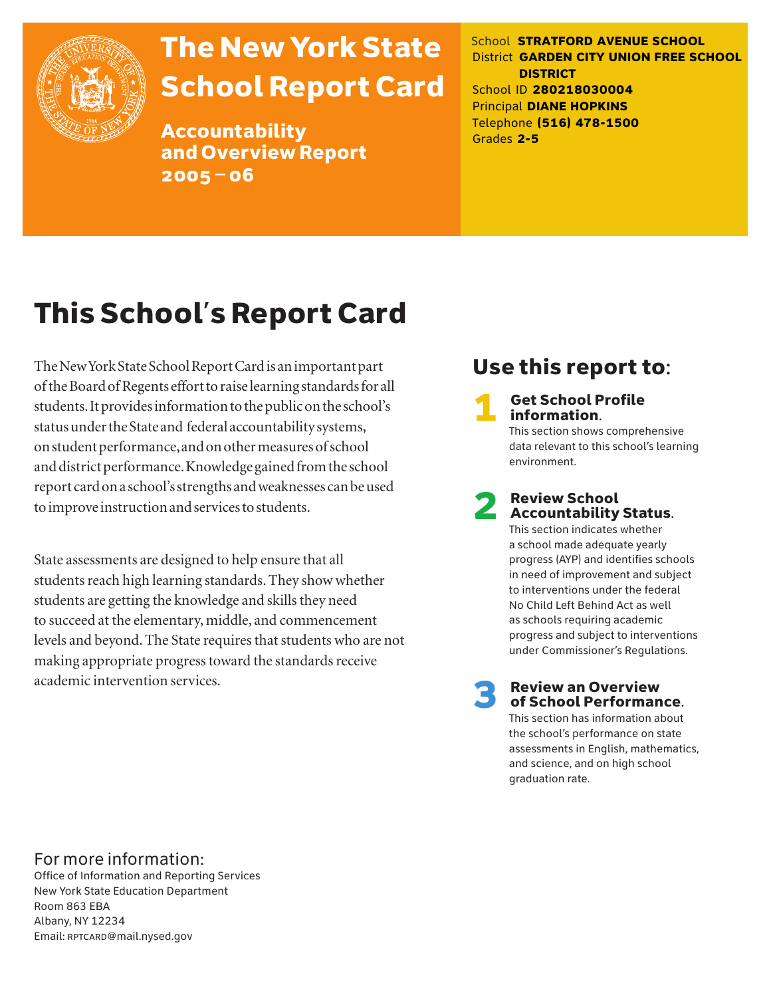

## The New York State School Report Card

Accountability and Overview Report 2005–06

School **STRATFORD AVENUE SCHOOL** District **GARDEN CITY UNION FREE SCHOOL DISTRICT** School ID **280218030004** Principal **DIANE HOPKINS** Telephone **(516) 478-1500** Grades **2-5**

## This School's Report Card

The New York State School Report Card is an important part of the Board of Regents effort to raise learning standards for all students. It provides information to the public on the school's status under the State and federal accountability systems, on student performance, and on other measures of school and district performance. Knowledge gained from the school report card on a school's strengths and weaknesses can be used to improve instruction and services to students.

State assessments are designed to help ensure that all students reach high learning standards. They show whether students are getting the knowledge and skills they need to succeed at the elementary, middle, and commencement levels and beyond. The State requires that students who are not making appropriate progress toward the standards receive academic intervention services.

## Use this report to:

**Get School Profile** information. This section shows comprehensive

data relevant to this school's learning environment.

# 2 Review School Accountability Status.

This section indicates whether a school made adequate yearly progress (AYP) and identifies schools in need of improvement and subject to interventions under the federal No Child Left Behind Act as well as schools requiring academic progress and subject to interventions under Commissioner's Regulations.

**Review an Overview** of School Performance.

This section has information about the school's performance on state assessments in English, mathematics, and science, and on high school graduation rate.

### For more information:

Office of Information and Reporting Services New York State Education Department Room 863 EBA Albany, NY 12234 Email: RPTCARD@mail.nysed.gov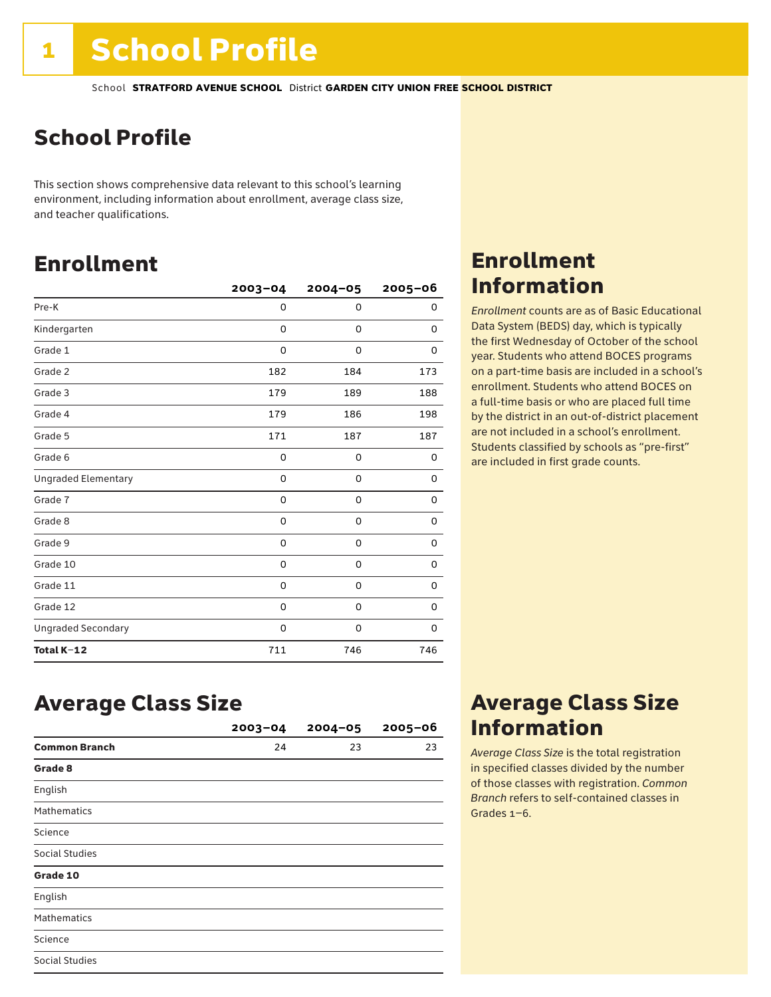## School Profile

This section shows comprehensive data relevant to this school's learning environment, including information about enrollment, average class size, and teacher qualifications.

## Enrollment

|                            | $2003 - 04$ | $2004 - 05$ | $2005 - 06$ |
|----------------------------|-------------|-------------|-------------|
| Pre-K                      | 0           | 0           | 0           |
| Kindergarten               | $\Omega$    | 0           | 0           |
| Grade 1                    | 0           | 0           | 0           |
| Grade 2                    | 182         | 184         | 173         |
| Grade 3                    | 179         | 189         | 188         |
| Grade 4                    | 179         | 186         | 198         |
| Grade 5                    | 171         | 187         | 187         |
| Grade 6                    | 0           | 0           | 0           |
| <b>Ungraded Elementary</b> | 0           | 0           | 0           |
| Grade 7                    | $\mathbf 0$ | $\mathbf 0$ | 0           |
| Grade 8                    | 0           | 0           | 0           |
| Grade 9                    | 0           | 0           | 0           |
| Grade 10                   | 0           | 0           | 0           |
| Grade 11                   | $\mathbf 0$ | $\mathbf 0$ | 0           |
| Grade 12                   | $\mathbf 0$ | 0           | 0           |
| <b>Ungraded Secondary</b>  | 0           | 0           | 0           |
| Total K-12                 | 711         | 746         | 746         |

### Enrollment Information

*Enrollment* counts are as of Basic Educational Data System (BEDS) day, which is typically the first Wednesday of October of the school year. Students who attend BOCES programs on a part-time basis are included in a school's enrollment. Students who attend BOCES on a full-time basis or who are placed full time by the district in an out-of-district placement are not included in a school's enrollment. Students classified by schools as "pre-first" are included in first grade counts.

### Average Class Size

|                      | $2003 - 04$ | $2004 - 05$ | $2005 - 06$ |
|----------------------|-------------|-------------|-------------|
| <b>Common Branch</b> | 24          | 23          | 23          |
| Grade 8              |             |             |             |
| English              |             |             |             |
| <b>Mathematics</b>   |             |             |             |
| Science              |             |             |             |
| Social Studies       |             |             |             |
| Grade 10             |             |             |             |
| English              |             |             |             |
| <b>Mathematics</b>   |             |             |             |
| Science              |             |             |             |
| Social Studies       |             |             |             |

## Average Class Size Information

*Average Class Size* is the total registration in specified classes divided by the number of those classes with registration. *Common Branch* refers to self-contained classes in Grades 1–6.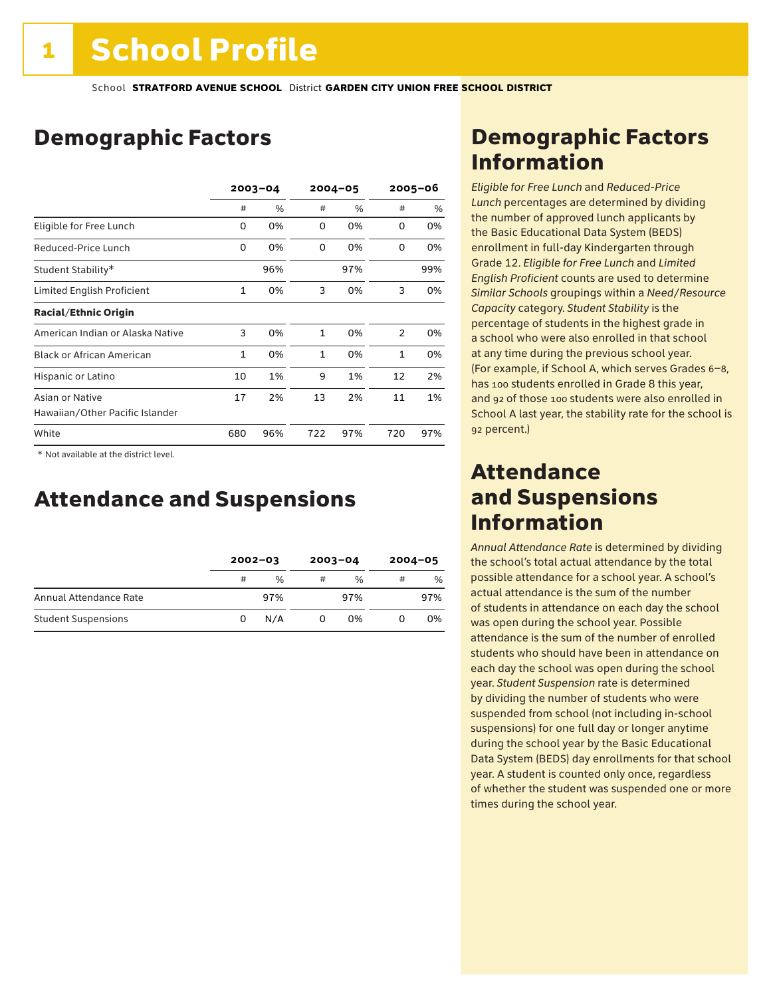## Demographic Factors

|                                  | $2003 - 04$  |      | $2004 - 05$  |      | $2005 - 06$    |     |
|----------------------------------|--------------|------|--------------|------|----------------|-----|
|                                  | #            | $\%$ | #            | $\%$ | #              | %   |
| Eligible for Free Lunch          | 0            | 0%   | 0            | 0%   | 0              | 0%  |
| Reduced-Price Lunch              | 0            | 0%   | 0            | 0%   | 0              | 0%  |
| Student Stability*               |              | 96%  |              | 97%  |                | 99% |
| Limited English Proficient       | 1            | 0%   | 3            | 0%   | 3              | 0%  |
| <b>Racial/Ethnic Origin</b>      |              |      |              |      |                |     |
| American Indian or Alaska Native | 3            | 0%   | $\mathbf{1}$ | 0%   | $\overline{2}$ | 0%  |
| <b>Black or African American</b> | $\mathbf{1}$ | 0%   | $\mathbf{1}$ | 0%   | 1              | 0%  |
| Hispanic or Latino               | 10           | 1%   | 9            | 1%   | 12             | 2%  |
| Asian or Native                  | 17           | 2%   | 13           | 2%   | 11             | 1%  |
| Hawaiian/Other Pacific Islander  |              |      |              |      |                |     |
| White                            | 680          | 96%  | 722          | 97%  | 720            | 97% |

 \* Not available at the district level.

## Attendance and Suspensions

|                            |   | $2002 - 03$   |   | $2003 - 04$   |   | $2004 - 05$ |
|----------------------------|---|---------------|---|---------------|---|-------------|
|                            | # | $\frac{0}{6}$ | # | $\frac{0}{0}$ | # | %           |
| Annual Attendance Rate     |   | 97%           |   | 97%           |   | 97%         |
| <b>Student Suspensions</b> | 0 | N/A           |   | 0%            |   | 0%          |

## Demographic Factors Information

*Eligible for Free Lunch* and *Reduced*-*Price Lunch* percentages are determined by dividing the number of approved lunch applicants by the Basic Educational Data System (BEDS) enrollment in full-day Kindergarten through Grade 12. *Eligible for Free Lunch* and *Limited English Proficient* counts are used to determine *Similar Schools* groupings within a *Need*/*Resource Capacity* category. *Student Stability* is the percentage of students in the highest grade in a school who were also enrolled in that school at any time during the previous school year. (For example, if School A, which serves Grades 6–8, has 100 students enrolled in Grade 8 this year, and 92 of those 100 students were also enrolled in School A last year, the stability rate for the school is 92 percent.)

### Attendance and Suspensions Information

*Annual Attendance Rate* is determined by dividing the school's total actual attendance by the total possible attendance for a school year. A school's actual attendance is the sum of the number of students in attendance on each day the school was open during the school year. Possible attendance is the sum of the number of enrolled students who should have been in attendance on each day the school was open during the school year. *Student Suspension* rate is determined by dividing the number of students who were suspended from school (not including in-school suspensions) for one full day or longer anytime during the school year by the Basic Educational Data System (BEDS) day enrollments for that school year. A student is counted only once, regardless of whether the student was suspended one or more times during the school year.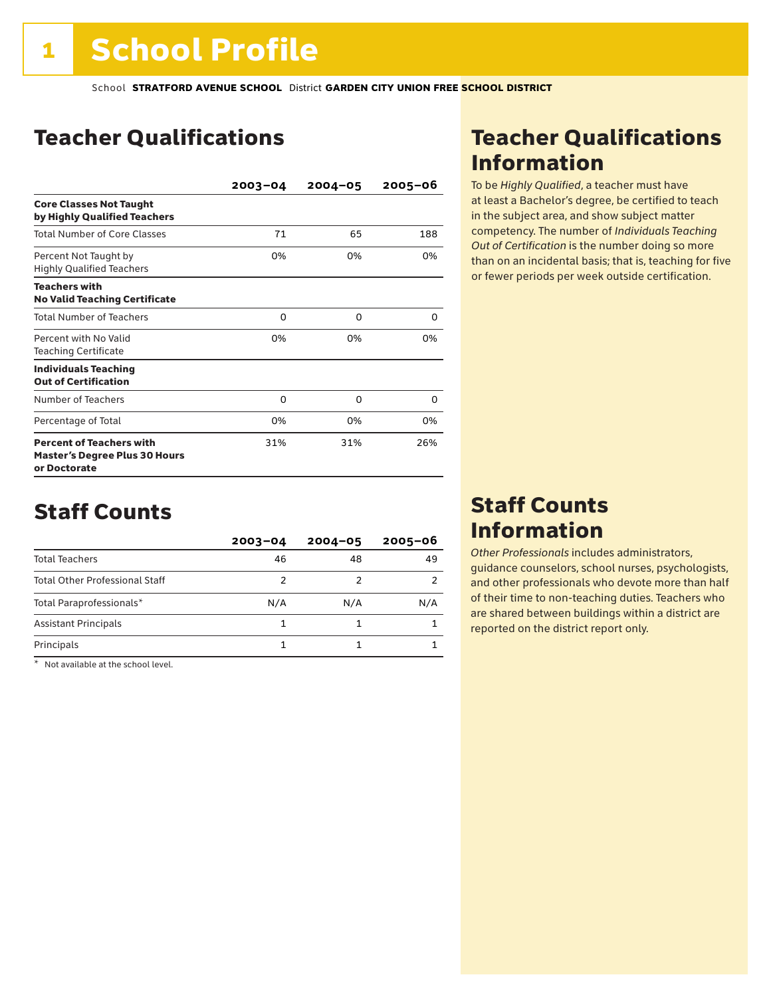## Teacher Qualifications

|                                                                                         | $2003 - 04$ | $2004 - 05$ | 2005-06 |
|-----------------------------------------------------------------------------------------|-------------|-------------|---------|
| <b>Core Classes Not Taught</b><br>by Highly Qualified Teachers                          |             |             |         |
| <b>Total Number of Core Classes</b>                                                     | 71          | 65          | 188     |
| Percent Not Taught by<br><b>Highly Qualified Teachers</b>                               | 0%          | 0%          | 0%      |
| <b>Teachers with</b><br><b>No Valid Teaching Certificate</b>                            |             |             |         |
| <b>Total Number of Teachers</b>                                                         | 0           | O           | 0       |
| Percent with No Valid<br><b>Teaching Certificate</b>                                    | 0%          | 0%          | 0%      |
| <b>Individuals Teaching</b><br><b>Out of Certification</b>                              |             |             |         |
| Number of Teachers                                                                      | 0           | 0           | 0       |
| Percentage of Total                                                                     | 0%          | 0%          | 0%      |
| <b>Percent of Teachers with</b><br><b>Master's Degree Plus 30 Hours</b><br>or Doctorate | 31%         | 31%         | 26%     |

## Staff Counts

|                                       | $2003 - 04$ | $2004 - 05$ | $2005 - 06$ |
|---------------------------------------|-------------|-------------|-------------|
| <b>Total Teachers</b>                 | 46          | 48          | 49          |
| <b>Total Other Professional Staff</b> | 2           |             |             |
| Total Paraprofessionals*              | N/A         | N/A         | N/A         |
| <b>Assistant Principals</b>           |             |             |             |
| Principals                            |             |             |             |

\* Not available at the school level.

## Teacher Qualifications Information

To be *Highly Qualified*, a teacher must have at least a Bachelor's degree, be certified to teach in the subject area, and show subject matter competency. The number of *Individuals Teaching Out of Certification* is the number doing so more than on an incidental basis; that is, teaching for five or fewer periods per week outside certification.

### Staff Counts Information

*Other Professionals* includes administrators, guidance counselors, school nurses, psychologists, and other professionals who devote more than half of their time to non-teaching duties. Teachers who are shared between buildings within a district are reported on the district report only.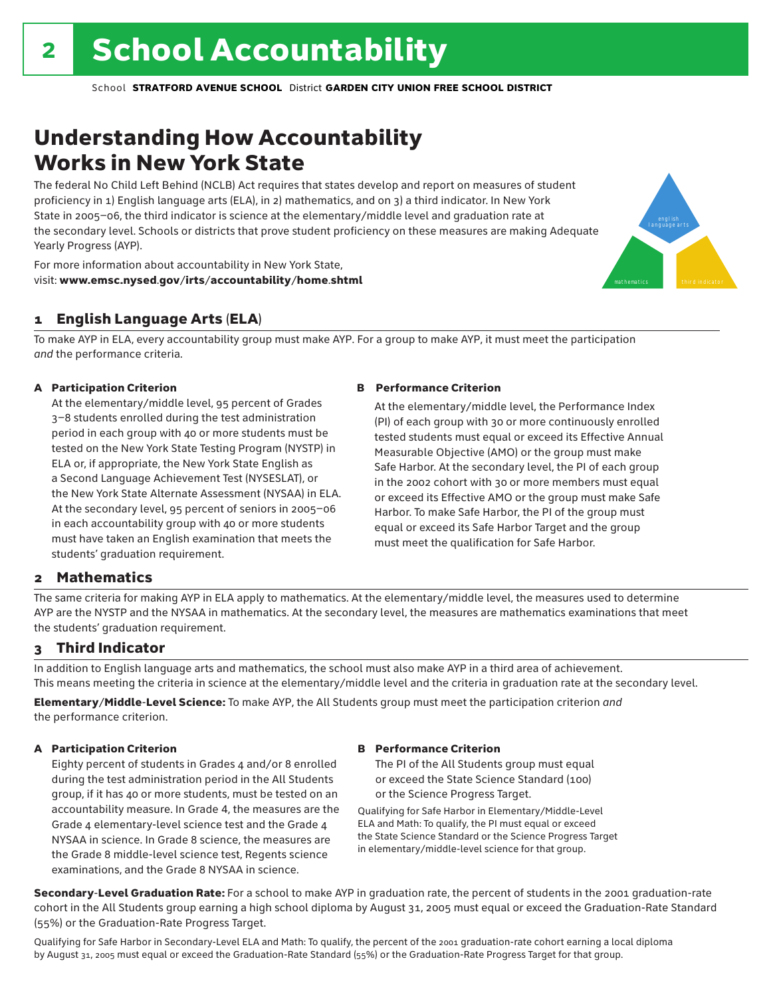## Understanding How Accountability Works in New York State

The federal No Child Left Behind (NCLB) Act requires that states develop and report on measures of student proficiency in 1) English language arts (ELA), in 2) mathematics, and on 3) a third indicator. In New York State in 2005–06, the third indicator is science at the elementary/middle level and graduation rate at the secondary level. Schools or districts that prove student proficiency on these measures are making Adequate Yearly Progress (AYP).



For more information about accountability in New York State, visit: www.emsc.nysed.gov/irts/accountability/home.shtml

#### 1 English Language Arts (ELA)

To make AYP in ELA, every accountability group must make AYP. For a group to make AYP, it must meet the participation *and* the performance criteria.

#### A Participation Criterion

At the elementary/middle level, 95 percent of Grades 3–8 students enrolled during the test administration period in each group with 40 or more students must be tested on the New York State Testing Program (NYSTP) in ELA or, if appropriate, the New York State English as a Second Language Achievement Test (NYSESLAT), or the New York State Alternate Assessment (NYSAA) in ELA. At the secondary level, 95 percent of seniors in 2005–06 in each accountability group with 40 or more students must have taken an English examination that meets the students' graduation requirement.

#### B Performance Criterion

At the elementary/middle level, the Performance Index (PI) of each group with 30 or more continuously enrolled tested students must equal or exceed its Effective Annual Measurable Objective (AMO) or the group must make Safe Harbor. At the secondary level, the PI of each group in the 2002 cohort with 30 or more members must equal or exceed its Effective AMO or the group must make Safe Harbor. To make Safe Harbor, the PI of the group must equal or exceed its Safe Harbor Target and the group must meet the qualification for Safe Harbor.

#### 2 Mathematics

The same criteria for making AYP in ELA apply to mathematics. At the elementary/middle level, the measures used to determine AYP are the NYSTP and the NYSAA in mathematics. At the secondary level, the measures are mathematics examinations that meet the students' graduation requirement.

#### 3 Third Indicator

In addition to English language arts and mathematics, the school must also make AYP in a third area of achievement. This means meeting the criteria in science at the elementary/middle level and the criteria in graduation rate at the secondary level.

Elementary/Middle-Level Science: To make AYP, the All Students group must meet the participation criterion *and* the performance criterion.

#### A Participation Criterion

Eighty percent of students in Grades 4 and/or 8 enrolled during the test administration period in the All Students group, if it has 40 or more students, must be tested on an accountability measure. In Grade 4, the measures are the Grade 4 elementary-level science test and the Grade 4 NYSAA in science. In Grade 8 science, the measures are the Grade 8 middle-level science test, Regents science examinations, and the Grade 8 NYSAA in science.

#### B Performance Criterion

The PI of the All Students group must equal or exceed the State Science Standard (100) or the Science Progress Target.

Qualifying for Safe Harbor in Elementary/Middle-Level ELA and Math: To qualify, the PI must equal or exceed the State Science Standard or the Science Progress Target in elementary/middle-level science for that group.

Secondary-Level Graduation Rate: For a school to make AYP in graduation rate, the percent of students in the 2001 graduation-rate cohort in the All Students group earning a high school diploma by August 31, 2005 must equal or exceed the Graduation-Rate Standard (55%) or the Graduation-Rate Progress Target.

Qualifying for Safe Harbor in Secondary-Level ELA and Math: To qualify, the percent of the 2001 graduation-rate cohort earning a local diploma by August 31, 2005 must equal or exceed the Graduation-Rate Standard (55%) or the Graduation-Rate Progress Target for that group.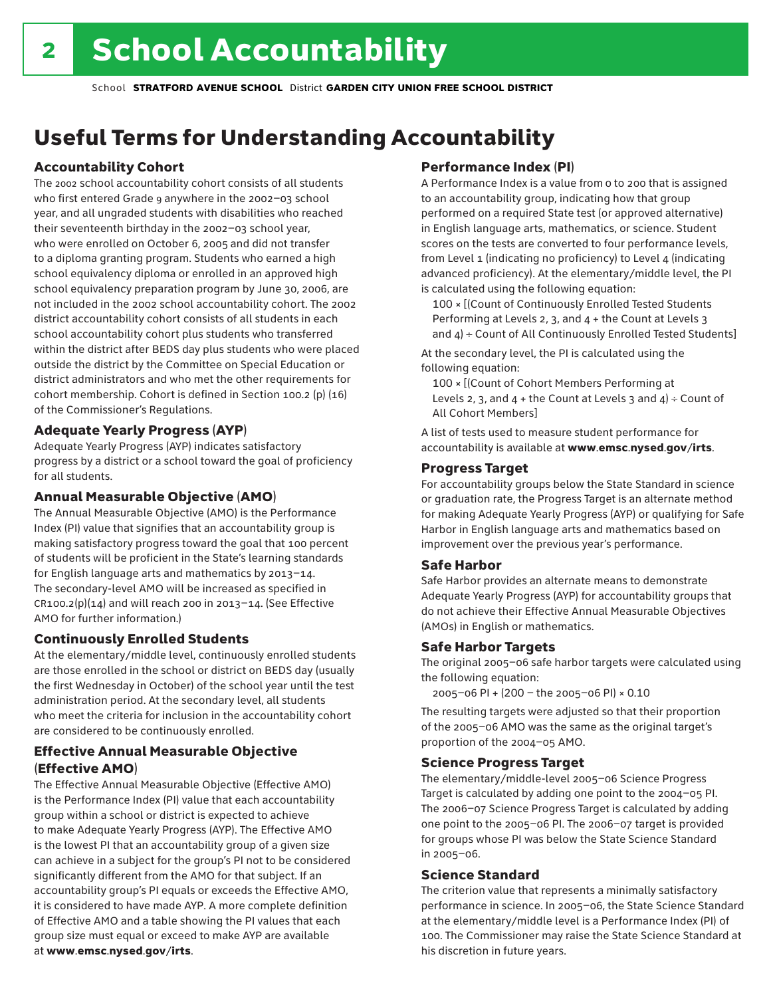## Useful Terms for Understanding Accountability

#### Accountability Cohort

The 2002 school accountability cohort consists of all students who first entered Grade 9 anywhere in the 2002–03 school year, and all ungraded students with disabilities who reached their seventeenth birthday in the 2002–03 school year, who were enrolled on October 6, 2005 and did not transfer to a diploma granting program. Students who earned a high school equivalency diploma or enrolled in an approved high school equivalency preparation program by June 30, 2006, are not included in the 2002 school accountability cohort. The 2002 district accountability cohort consists of all students in each school accountability cohort plus students who transferred within the district after BEDS day plus students who were placed outside the district by the Committee on Special Education or district administrators and who met the other requirements for cohort membership. Cohort is defined in Section 100.2 (p) (16) of the Commissioner's Regulations.

#### Adequate Yearly Progress (AYP)

Adequate Yearly Progress (AYP) indicates satisfactory progress by a district or a school toward the goal of proficiency for all students.

#### Annual Measurable Objective (AMO)

The Annual Measurable Objective (AMO) is the Performance Index (PI) value that signifies that an accountability group is making satisfactory progress toward the goal that 100 percent of students will be proficient in the State's learning standards for English language arts and mathematics by 2013–14. The secondary-level AMO will be increased as specified in  $CR100.2(p)(14)$  and will reach 200 in 2013-14. (See Effective AMO for further information.)

#### Continuously Enrolled Students

At the elementary/middle level, continuously enrolled students are those enrolled in the school or district on BEDS day (usually the first Wednesday in October) of the school year until the test administration period. At the secondary level, all students who meet the criteria for inclusion in the accountability cohort are considered to be continuously enrolled.

#### Effective Annual Measurable Objective (Effective AMO)

The Effective Annual Measurable Objective (Effective AMO) is the Performance Index (PI) value that each accountability group within a school or district is expected to achieve to make Adequate Yearly Progress (AYP). The Effective AMO is the lowest PI that an accountability group of a given size can achieve in a subject for the group's PI not to be considered significantly different from the AMO for that subject. If an accountability group's PI equals or exceeds the Effective AMO, it is considered to have made AYP. A more complete definition of Effective AMO and a table showing the PI values that each group size must equal or exceed to make AYP are available at www.emsc.nysed.gov/irts.

#### Performance Index (PI)

A Performance Index is a value from 0 to 200 that is assigned to an accountability group, indicating how that group performed on a required State test (or approved alternative) in English language arts, mathematics, or science. Student scores on the tests are converted to four performance levels, from Level 1 (indicating no proficiency) to Level 4 (indicating advanced proficiency). At the elementary/middle level, the PI is calculated using the following equation:

100 × [(Count of Continuously Enrolled Tested Students Performing at Levels 2, 3, and 4 + the Count at Levels 3 and  $4$ ) ÷ Count of All Continuously Enrolled Tested Students]

At the secondary level, the PI is calculated using the following equation:

100 × [(Count of Cohort Members Performing at Levels 2, 3, and  $4 +$  the Count at Levels 3 and  $4$ ) ÷ Count of All Cohort Members]

A list of tests used to measure student performance for accountability is available at www.emsc.nysed.gov/irts.

#### Progress Target

For accountability groups below the State Standard in science or graduation rate, the Progress Target is an alternate method for making Adequate Yearly Progress (AYP) or qualifying for Safe Harbor in English language arts and mathematics based on improvement over the previous year's performance.

#### Safe Harbor

Safe Harbor provides an alternate means to demonstrate Adequate Yearly Progress (AYP) for accountability groups that do not achieve their Effective Annual Measurable Objectives (AMOs) in English or mathematics.

#### Safe Harbor Targets

The original 2005–06 safe harbor targets were calculated using the following equation:

2005–06 PI + (200 – the 2005–06 PI) × 0.10

The resulting targets were adjusted so that their proportion of the 2005–06 AMO was the same as the original target's proportion of the 2004–05 AMO.

#### Science Progress Target

The elementary/middle-level 2005–06 Science Progress Target is calculated by adding one point to the 2004–05 PI. The 2006–07 Science Progress Target is calculated by adding one point to the 2005–06 PI. The 2006–07 target is provided for groups whose PI was below the State Science Standard in 2005–06.

#### Science Standard

The criterion value that represents a minimally satisfactory performance in science. In 2005–06, the State Science Standard at the elementary/middle level is a Performance Index (PI) of 100. The Commissioner may raise the State Science Standard at his discretion in future years.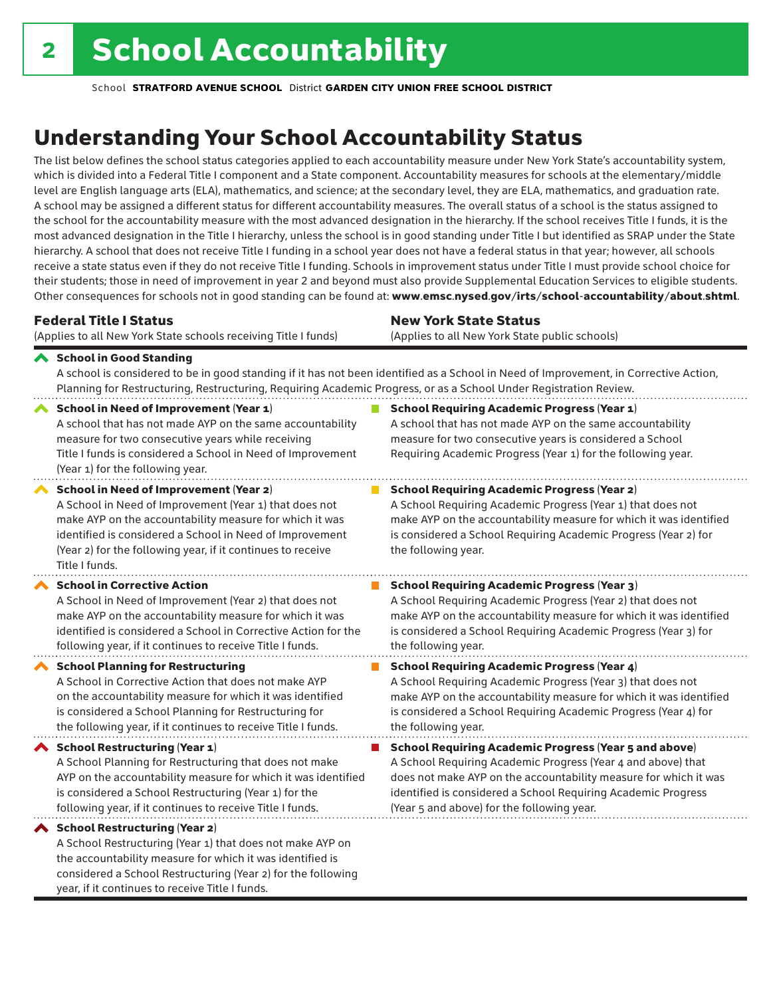considered a School Restructuring (Year 2) for the following

year, if it continues to receive Title I funds.

School **STRATFORD AVENUE SCHOOL** District **GARDEN CITY UNION FREE SCHOOL DISTRICT**

## Understanding Your School Accountability Status

The list below defines the school status categories applied to each accountability measure under New York State's accountability system, which is divided into a Federal Title I component and a State component. Accountability measures for schools at the elementary/middle level are English language arts (ELA), mathematics, and science; at the secondary level, they are ELA, mathematics, and graduation rate. A school may be assigned a different status for different accountability measures. The overall status of a school is the status assigned to the school for the accountability measure with the most advanced designation in the hierarchy. If the school receives Title I funds, it is the most advanced designation in the Title I hierarchy, unless the school is in good standing under Title I but identified as SRAP under the State hierarchy. A school that does not receive Title I funding in a school year does not have a federal status in that year; however, all schools receive a state status even if they do not receive Title I funding. Schools in improvement status under Title I must provide school choice for their students; those in need of improvement in year 2 and beyond must also provide Supplemental Education Services to eligible students. Other consequences for schools not in good standing can be found at: www.emsc.nysed.gov/irts/school-accountability/about.shtml.

| <b>Federal Title I Status</b>                                                                                                                                                                                                                                                                                   | <b>New York State Status</b>                                                                                                                                                                                                                                                      |
|-----------------------------------------------------------------------------------------------------------------------------------------------------------------------------------------------------------------------------------------------------------------------------------------------------------------|-----------------------------------------------------------------------------------------------------------------------------------------------------------------------------------------------------------------------------------------------------------------------------------|
| (Applies to all New York State schools receiving Title I funds)                                                                                                                                                                                                                                                 | (Applies to all New York State public schools)                                                                                                                                                                                                                                    |
| School in Good Standing<br>Planning for Restructuring, Restructuring, Requiring Academic Progress, or as a School Under Registration Review.                                                                                                                                                                    | A school is considered to be in good standing if it has not been identified as a School in Need of Improvement, in Corrective Action,                                                                                                                                             |
| School in Need of Improvement (Year 1)<br>A school that has not made AYP on the same accountability<br>measure for two consecutive years while receiving<br>Title I funds is considered a School in Need of Improvement<br>(Year 1) for the following year.                                                     | <b>School Requiring Academic Progress (Year 1)</b><br>A school that has not made AYP on the same accountability<br>measure for two consecutive years is considered a School<br>Requiring Academic Progress (Year 1) for the following year.                                       |
| <b>School in Need of Improvement (Year 2)</b><br>A School in Need of Improvement (Year 1) that does not<br>make AYP on the accountability measure for which it was<br>identified is considered a School in Need of Improvement<br>(Year 2) for the following year, if it continues to receive<br>Title I funds. | <b>School Requiring Academic Progress (Year 2)</b><br>A School Requiring Academic Progress (Year 1) that does not<br>make AYP on the accountability measure for which it was identified<br>is considered a School Requiring Academic Progress (Year 2) for<br>the following year. |
| <b>School in Corrective Action</b>                                                                                                                                                                                                                                                                              | <b>School Requiring Academic Progress (Year 3)</b>                                                                                                                                                                                                                                |
| A School in Need of Improvement (Year 2) that does not                                                                                                                                                                                                                                                          | A School Requiring Academic Progress (Year 2) that does not                                                                                                                                                                                                                       |
| make AYP on the accountability measure for which it was                                                                                                                                                                                                                                                         | make AYP on the accountability measure for which it was identified                                                                                                                                                                                                                |
| identified is considered a School in Corrective Action for the                                                                                                                                                                                                                                                  | is considered a School Requiring Academic Progress (Year 3) for                                                                                                                                                                                                                   |
| following year, if it continues to receive Title I funds.                                                                                                                                                                                                                                                       | the following year.                                                                                                                                                                                                                                                               |
| <b>School Planning for Restructuring</b>                                                                                                                                                                                                                                                                        | <b>School Requiring Academic Progress (Year 4)</b>                                                                                                                                                                                                                                |
| A School in Corrective Action that does not make AYP                                                                                                                                                                                                                                                            | A School Requiring Academic Progress (Year 3) that does not                                                                                                                                                                                                                       |
| on the accountability measure for which it was identified                                                                                                                                                                                                                                                       | make AYP on the accountability measure for which it was identified                                                                                                                                                                                                                |
| is considered a School Planning for Restructuring for                                                                                                                                                                                                                                                           | is considered a School Requiring Academic Progress (Year 4) for                                                                                                                                                                                                                   |
| the following year, if it continues to receive Title I funds.                                                                                                                                                                                                                                                   | the following year.                                                                                                                                                                                                                                                               |
| School Restructuring (Year 1)                                                                                                                                                                                                                                                                                   | <b>School Requiring Academic Progress (Year 5 and above)</b>                                                                                                                                                                                                                      |
| A School Planning for Restructuring that does not make                                                                                                                                                                                                                                                          | A School Requiring Academic Progress (Year 4 and above) that                                                                                                                                                                                                                      |
| AYP on the accountability measure for which it was identified                                                                                                                                                                                                                                                   | does not make AYP on the accountability measure for which it was                                                                                                                                                                                                                  |
| is considered a School Restructuring (Year 1) for the                                                                                                                                                                                                                                                           | identified is considered a School Requiring Academic Progress                                                                                                                                                                                                                     |
| following year, if it continues to receive Title I funds.                                                                                                                                                                                                                                                       | (Year 5 and above) for the following year.                                                                                                                                                                                                                                        |
| ◆ School Restructuring (Year 2)<br>A School Restructuring (Year 1) that does not make AYP on<br>the accountability measure for which it was identified is                                                                                                                                                       |                                                                                                                                                                                                                                                                                   |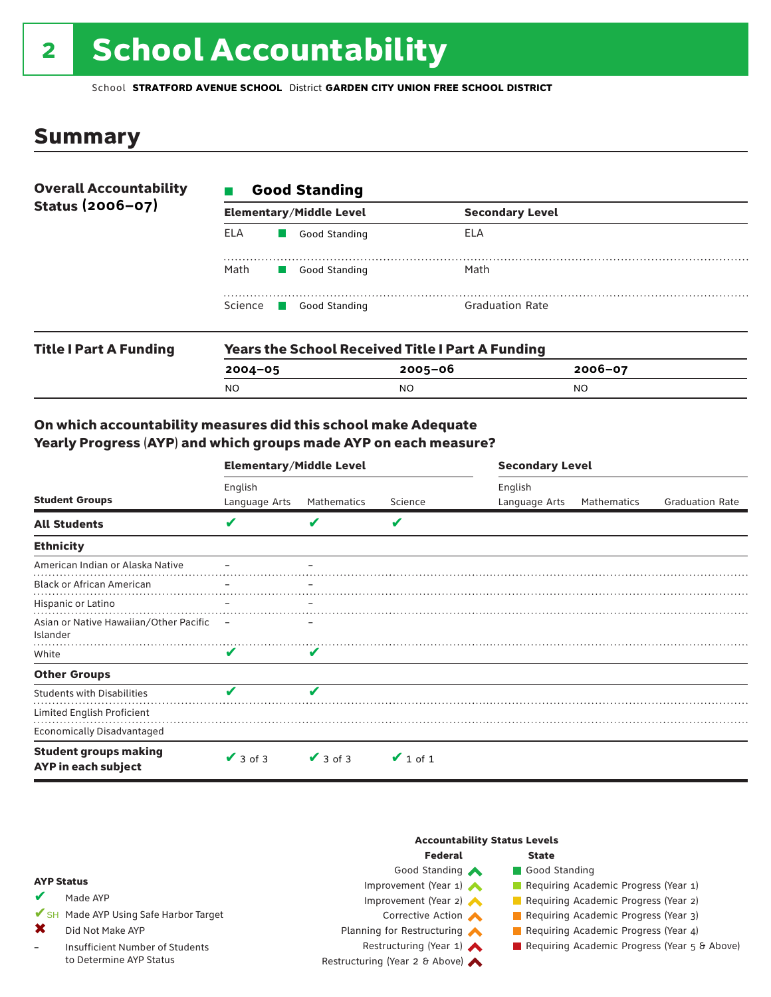## 2 School Accountability

School **STRATFORD AVENUE SCHOOL** District **GARDEN CITY UNION FREE SCHOOL DISTRICT**

### Summary

| <b>Overall Accountability</b><br>Status (2006-07) | <b>Good Standing</b>   |                                                         |                        |  |  |  |
|---------------------------------------------------|------------------------|---------------------------------------------------------|------------------------|--|--|--|
|                                                   |                        | <b>Elementary/Middle Level</b>                          | <b>Secondary Level</b> |  |  |  |
|                                                   | ELA                    | Good Standing                                           | ELA                    |  |  |  |
|                                                   | Math                   | Good Standing                                           | Math                   |  |  |  |
|                                                   | Science $\blacksquare$ | Good Standing                                           | <b>Graduation Rate</b> |  |  |  |
| <b>Title I Part A Funding</b>                     |                        | <b>Years the School Received Title I Part A Funding</b> |                        |  |  |  |

| <b>IGGIS LIIG SCHOOL RECEIVED TRUE IT GILLAT QIRAING</b> |                |             |  |  |
|----------------------------------------------------------|----------------|-------------|--|--|
| 2004-05                                                  | 2005-06        | $2006 - 07$ |  |  |
| NO                                                       | N <sub>O</sub> | <b>NO</b>   |  |  |
|                                                          |                |             |  |  |

#### On which accountability measures did this school make Adequate Yearly Progress (AYP) and which groups made AYP on each measure?

| <b>Student Groups</b>                               | <b>Elementary/Middle Level</b> |               |               | <b>Secondary Level</b>   |             |                        |
|-----------------------------------------------------|--------------------------------|---------------|---------------|--------------------------|-------------|------------------------|
|                                                     | English<br>Language Arts       | Mathematics   | Science       | English<br>Language Arts | Mathematics | <b>Graduation Rate</b> |
| <b>All Students</b>                                 | V                              | V             | V             |                          |             |                        |
| <b>Ethnicity</b>                                    |                                |               |               |                          |             |                        |
| American Indian or Alaska Native                    |                                |               |               |                          |             |                        |
| <b>Black or African American</b>                    |                                |               |               |                          |             |                        |
| Hispanic or Latino                                  |                                |               |               |                          |             |                        |
| Asian or Native Hawaiian/Other Pacific<br>Islander  |                                |               |               |                          |             |                        |
| White                                               | V                              | V             |               |                          |             |                        |
| <b>Other Groups</b>                                 |                                |               |               |                          |             |                        |
| <b>Students with Disabilities</b>                   | v                              | ✔             |               |                          |             |                        |
| Limited English Proficient                          |                                |               |               |                          |             |                        |
| <b>Economically Disadvantaged</b>                   |                                |               |               |                          |             |                        |
| <b>Student groups making</b><br>AYP in each subject | $\sqrt{3}$ of 3                | $\vee$ 3 of 3 | $\vee$ 1 of 1 |                          |             |                        |

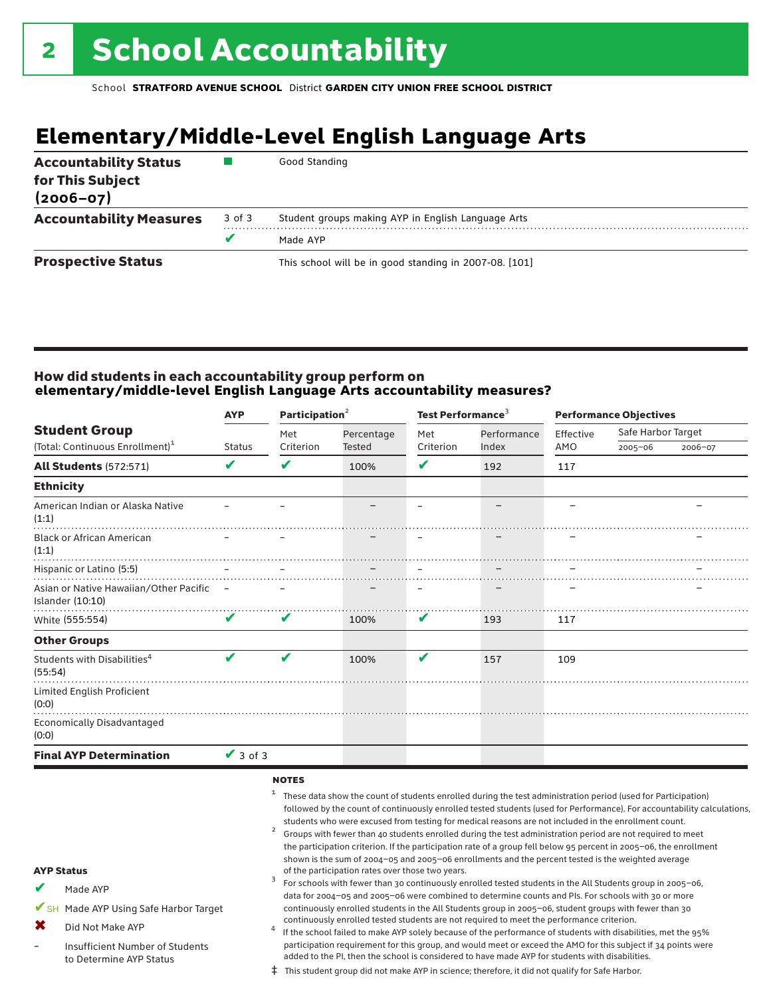## **Elementary/Middle-Level English Language Arts**

| <b>Accountability Status</b><br>for This Subject<br>$(2006 - 07)$ |        | Good Standing                                          |
|-------------------------------------------------------------------|--------|--------------------------------------------------------|
| <b>Accountability Measures</b>                                    | 3 of 3 | Student groups making AYP in English Language Arts     |
|                                                                   |        | Made AYP                                               |
| <b>Prospective Status</b>                                         |        | This school will be in good standing in 2007-08. [101] |

#### How did students in each accountability group perform on **elementary/middle-level English Language Arts accountability measures?**

|                                                                     | <b>AYP</b>               |                  | Participation <sup>2</sup>  |                          | Test Performance <sup>3</sup> |                  | <b>Performance Objectives</b>     |         |  |
|---------------------------------------------------------------------|--------------------------|------------------|-----------------------------|--------------------------|-------------------------------|------------------|-----------------------------------|---------|--|
| <b>Student Group</b><br>(Total: Continuous Enrollment) <sup>1</sup> | <b>Status</b>            | Met<br>Criterion | Percentage<br><b>Tested</b> | Met<br>Criterion         | Performance<br>Index          | Effective<br>AMO | Safe Harbor Target<br>$2005 - 06$ | 2006-07 |  |
|                                                                     |                          |                  |                             |                          |                               |                  |                                   |         |  |
| <b>All Students (572:571)</b>                                       | V                        | V                | 100%                        | V                        | 192                           | 117              |                                   |         |  |
| <b>Ethnicity</b>                                                    |                          |                  |                             |                          |                               |                  |                                   |         |  |
| American Indian or Alaska Native<br>(1:1)                           |                          |                  |                             |                          |                               |                  |                                   |         |  |
| <b>Black or African American</b><br>(1:1)                           |                          |                  |                             |                          |                               |                  |                                   |         |  |
| Hispanic or Latino (5:5)                                            |                          |                  |                             | $\overline{\phantom{m}}$ |                               |                  |                                   |         |  |
| Asian or Native Hawaiian/Other Pacific<br>Islander (10:10)          | $\overline{\phantom{a}}$ | —                |                             | $\overline{\phantom{m}}$ |                               |                  |                                   |         |  |
| White (555:554)                                                     | V                        | V                | 100%                        | V                        | 193                           | 117              |                                   |         |  |
| <b>Other Groups</b>                                                 |                          |                  |                             |                          |                               |                  |                                   |         |  |
| Students with Disabilities <sup>4</sup><br>(55:54)                  | ✔                        | V                | 100%                        | V                        | 157                           | 109              |                                   |         |  |
| Limited English Proficient<br>(0:0)                                 |                          |                  |                             |                          |                               |                  |                                   |         |  |
| <b>Economically Disadvantaged</b><br>(0:0)                          |                          |                  |                             |                          |                               |                  |                                   |         |  |
| <b>Final AYP Determination</b>                                      | $\sqrt{3}$ of 3          |                  |                             |                          |                               |                  |                                   |         |  |
|                                                                     |                          | <b>NOTEC</b>     |                             |                          |                               |                  |                                   |         |  |

- AYP Status Made AYP ✔SH Made AYP Using Safe Harbor Target Did Not Make AYP Insufficient Number of Students to Determine AYP Status <sup>1</sup> These data show the count of students enrolled during the test administration period (used for Participation) followed by the count of continuously enrolled tested students (used for Performance). For accountability calculations, students who were excused from testing for medical reasons are not included in the enrollment count.<br><sup>2</sup> Groups with fewer than 40 students enrolled during the test administration period are not required to meet the participation criterion. If the participation rate of a group fell below 95 percent in 2005–06, the enrollment shown is the sum of 2004–05 and 2005–06 enrollments and the percent tested is the weighted average<br>of the participation rates over those two years. of the participation rates over those two years. <sup>3</sup> For schools with fewer than 30 continuously enrolled tested students in the All Students group in 2005–06, data for 2004–05 and 2005–06 were combined to determine counts and PIs. For schools with 30 or more continuously enrolled students in the All Students group in 2005–06, student groups with fewer than 30 continuously enrolled tested students are not required to meet the performance criterion.<br>If the school failed to make AYP solely because of the performance of students with disabilities, met the 95% participation requirement for this group, and would meet or exceed the AMO for this subject if 34 points were added to the PI, then the school is considered to have made AYP for students with disabilities. ✔ ✖ –
	- ‡ This student group did not make AYP in science; therefore, it did not qualify for Safe Harbor.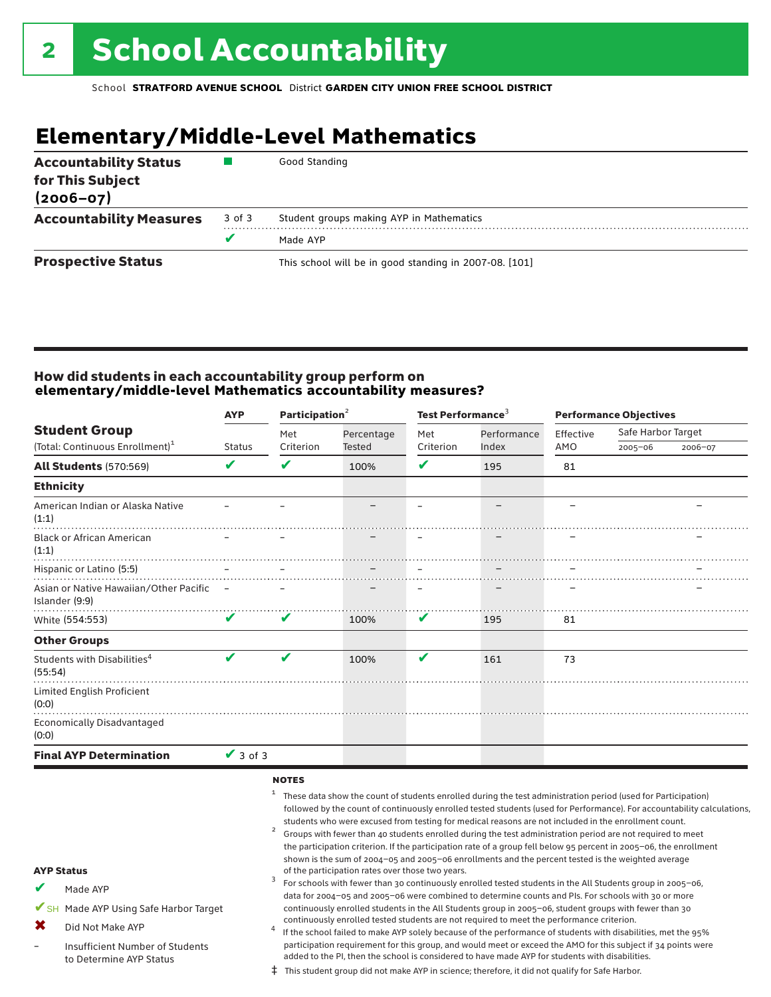## **Elementary/Middle-Level Mathematics**

| <b>Accountability Status</b><br>for This Subject<br>$(2006 - 07)$ |        | Good Standing                                          |
|-------------------------------------------------------------------|--------|--------------------------------------------------------|
| <b>Accountability Measures</b>                                    | 3 of 3 | Student groups making AYP in Mathematics               |
|                                                                   | v      | Made AYP                                               |
| <b>Prospective Status</b>                                         |        | This school will be in good standing in 2007-08. [101] |

#### How did students in each accountability group perform on **elementary/middle-level Mathematics accountability measures?**

|                                                            | <b>AYP</b>      | Participation <sup>2</sup> |            | Test Performance <sup>3</sup> |             | <b>Performance Objectives</b> |                    |         |  |
|------------------------------------------------------------|-----------------|----------------------------|------------|-------------------------------|-------------|-------------------------------|--------------------|---------|--|
| <b>Student Group</b>                                       |                 | Met                        | Percentage | Met                           | Performance | Effective                     | Safe Harbor Target |         |  |
| (Total: Continuous Enrollment) <sup>1</sup>                | <b>Status</b>   | Criterion                  | Tested     | Criterion                     | Index       | AMO                           | $2005 - 06$        | 2006-07 |  |
| <b>All Students (570:569)</b>                              | V               | ✔                          | 100%       | V                             | 195         | 81                            |                    |         |  |
| <b>Ethnicity</b>                                           |                 |                            |            |                               |             |                               |                    |         |  |
| American Indian or Alaska Native<br>(1:1)                  |                 |                            |            |                               |             |                               |                    |         |  |
| <b>Black or African American</b><br>(1:1)                  |                 |                            |            |                               |             |                               |                    |         |  |
| Hispanic or Latino (5:5)                                   |                 |                            |            |                               |             |                               |                    |         |  |
| Asian or Native Hawaiian/Other Pacific -<br>Islander (9:9) |                 |                            |            |                               |             |                               |                    |         |  |
| White (554:553)                                            | V               | V                          | 100%       | V                             | 195         | 81                            |                    |         |  |
| <b>Other Groups</b>                                        |                 |                            |            |                               |             |                               |                    |         |  |
| Students with Disabilities <sup>4</sup><br>(55:54)         | ✔               | ✔                          | 100%       | V                             | 161         | 73                            |                    |         |  |
| Limited English Proficient<br>(0:0)                        |                 |                            |            |                               |             |                               |                    |         |  |
| <b>Economically Disadvantaged</b><br>(0:0)                 |                 |                            |            |                               |             |                               |                    |         |  |
| <b>Final AYP Determination</b>                             | $\sqrt{3}$ of 3 |                            |            |                               |             |                               |                    |         |  |

#### **NOTES**

|   |                                                            | These data show the count of students enrolled during the test administration period (used for Participation)<br>followed by the count of continuously enrolled tested students (used for Performance). For accountability calculations,<br>students who were excused from testing for medical reasons are not included in the enrollment count.<br>Groups with fewer than 40 students enrolled during the test administration period are not required to meet<br>the participation criterion. If the participation rate of a group fell below 95 percent in 2005-06, the enrollment<br>shown is the sum of 2004-05 and 2005-06 enrollments and the percent tested is the weighted average |
|---|------------------------------------------------------------|--------------------------------------------------------------------------------------------------------------------------------------------------------------------------------------------------------------------------------------------------------------------------------------------------------------------------------------------------------------------------------------------------------------------------------------------------------------------------------------------------------------------------------------------------------------------------------------------------------------------------------------------------------------------------------------------|
|   | <b>AYP Status</b>                                          | of the participation rates over those two years.                                                                                                                                                                                                                                                                                                                                                                                                                                                                                                                                                                                                                                           |
|   | Made AYP                                                   | For schools with fewer than 30 continuously enrolled tested students in the All Students group in 2005-06,<br>data for 2004-05 and 2005-06 were combined to determine counts and PIs. For schools with 30 or more                                                                                                                                                                                                                                                                                                                                                                                                                                                                          |
|   | SH Made AYP Using Safe Harbor Target                       | continuously enrolled students in the All Students group in 2005-06, student groups with fewer than 30                                                                                                                                                                                                                                                                                                                                                                                                                                                                                                                                                                                     |
| Х | Did Not Make AYP                                           | continuously enrolled tested students are not required to meet the performance criterion.<br>If the school failed to make AYP solely because of the performance of students with disabilities, met the 95%                                                                                                                                                                                                                                                                                                                                                                                                                                                                                 |
|   | Insufficient Number of Students<br>to Determine AYP Status | participation requirement for this group, and would meet or exceed the AMO for this subject if 34 points were<br>added to the PI, then the school is considered to have made AYP for students with disabilities.                                                                                                                                                                                                                                                                                                                                                                                                                                                                           |
|   |                                                            | This student group did not make AYP in science; therefore, it did not qualify for Safe Harbor.                                                                                                                                                                                                                                                                                                                                                                                                                                                                                                                                                                                             |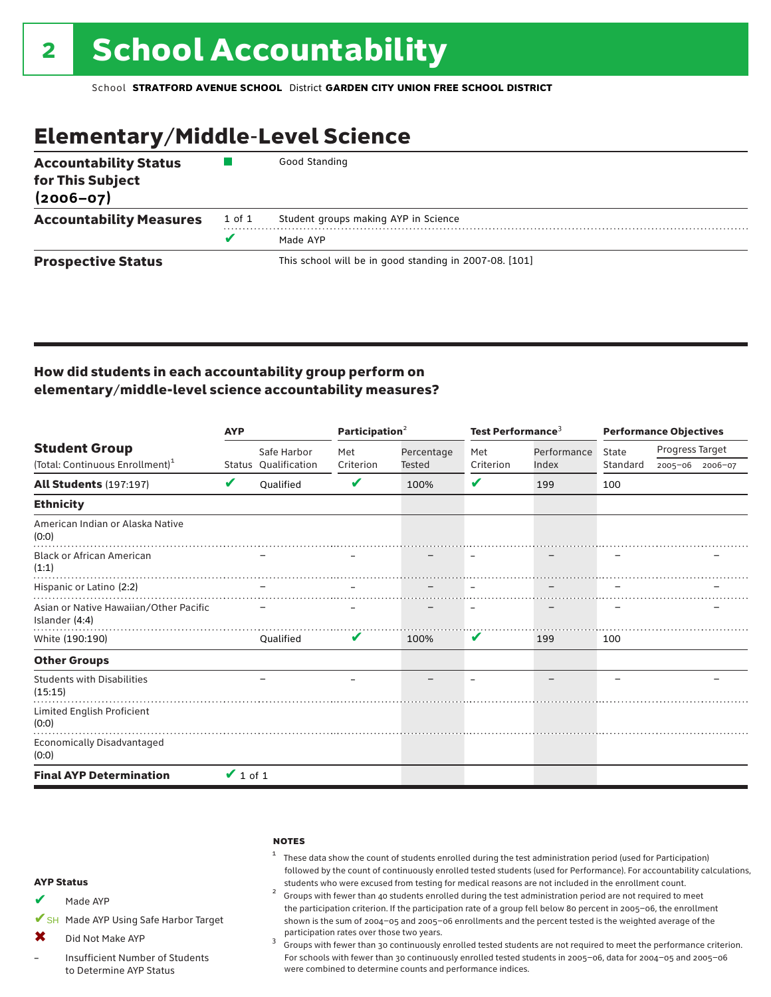## Elementary/Middle-Level Science

| <b>Accountability Status</b><br>for This Subject<br>$(2006 - 07)$ |        | Good Standing                                          |  |  |  |  |  |
|-------------------------------------------------------------------|--------|--------------------------------------------------------|--|--|--|--|--|
| <b>Accountability Measures</b>                                    | 1 of 1 | Student groups making AYP in Science                   |  |  |  |  |  |
|                                                                   | v      | Made AYP                                               |  |  |  |  |  |
| <b>Prospective Status</b>                                         |        | This school will be in good standing in 2007-08. [101] |  |  |  |  |  |

#### How did students in each accountability group perform on elementary/middle-level science accountability measures?

|                                                          | <b>AYP</b>    |                      | Participation <sup>2</sup> |               | Test Performance <sup>3</sup> |             | <b>Performance Objectives</b> |                 |                 |
|----------------------------------------------------------|---------------|----------------------|----------------------------|---------------|-------------------------------|-------------|-------------------------------|-----------------|-----------------|
| <b>Student Group</b>                                     |               | Safe Harbor          | Met                        | Percentage    | Met                           | Performance | State                         | Progress Target |                 |
| (Total: Continuous Enrollment) <sup>1</sup>              |               | Status Qualification | Criterion                  | <b>Tested</b> | Criterion                     | Index       | Standard                      |                 | 2005-06 2006-07 |
| <b>All Students (197:197)</b>                            | V             | <b>Oualified</b>     | V                          | 100%          | V                             | 199         | 100                           |                 |                 |
| <b>Ethnicity</b>                                         |               |                      |                            |               |                               |             |                               |                 |                 |
| American Indian or Alaska Native<br>(0:0)                |               |                      |                            |               |                               |             |                               |                 |                 |
| <b>Black or African American</b><br>(1:1)                |               |                      |                            |               |                               |             |                               |                 |                 |
| Hispanic or Latino (2:2)                                 |               |                      |                            |               |                               |             |                               |                 |                 |
| Asian or Native Hawaiian/Other Pacific<br>Islander (4:4) |               |                      |                            |               |                               |             |                               |                 |                 |
| White (190:190)                                          |               | Oualified            | V                          | 100%          | V                             | 199         | 100                           |                 |                 |
| <b>Other Groups</b>                                      |               |                      |                            |               |                               |             |                               |                 |                 |
| <b>Students with Disabilities</b><br>(15:15)             |               |                      |                            |               |                               |             |                               |                 |                 |
| Limited English Proficient<br>(0:0)                      |               |                      |                            |               |                               |             |                               |                 |                 |
| Economically Disadvantaged<br>(0:0)                      |               |                      |                            |               |                               |             |                               |                 |                 |
| <b>Final AYP Determination</b>                           | $\vee$ 1 of 1 |                      |                            |               |                               |             |                               |                 |                 |

#### **NOTES**

#### $1$  These data show the count of students enrolled during the test administration period (used for Participation) followed by the count of continuously enrolled tested students (used for Performance). For accountability calculations,

students who were excused from testing for medical reasons are not included in the enrollment count. <sup>2</sup> Groups with fewer than <sup>40</sup> students enrolled during the test administration period are not required to meet the participation criterion. If the participation rate of a group fell below 80 percent in 2005–06, the enrollment shown is the sum of 2004–05 and 2005–06 enrollments and the percent tested is the weighted average of the

participation rates over those two years.<br><sup>3</sup> Groups with fewer than 30 continuously enrolled tested students are not required to meet the performance criterion. For schools with fewer than 30 continuously enrolled tested students in 2005–06, data for 2004–05 and 2005–06 were combined to determine counts and performance indices.

#### AYP Status

- Made AYP ✔
- ✔SH Made AYP Using Safe Harbor Target
- Did Not Make AYP  $\mathbf x$
- Insufficient Number of Students to Determine AYP Status –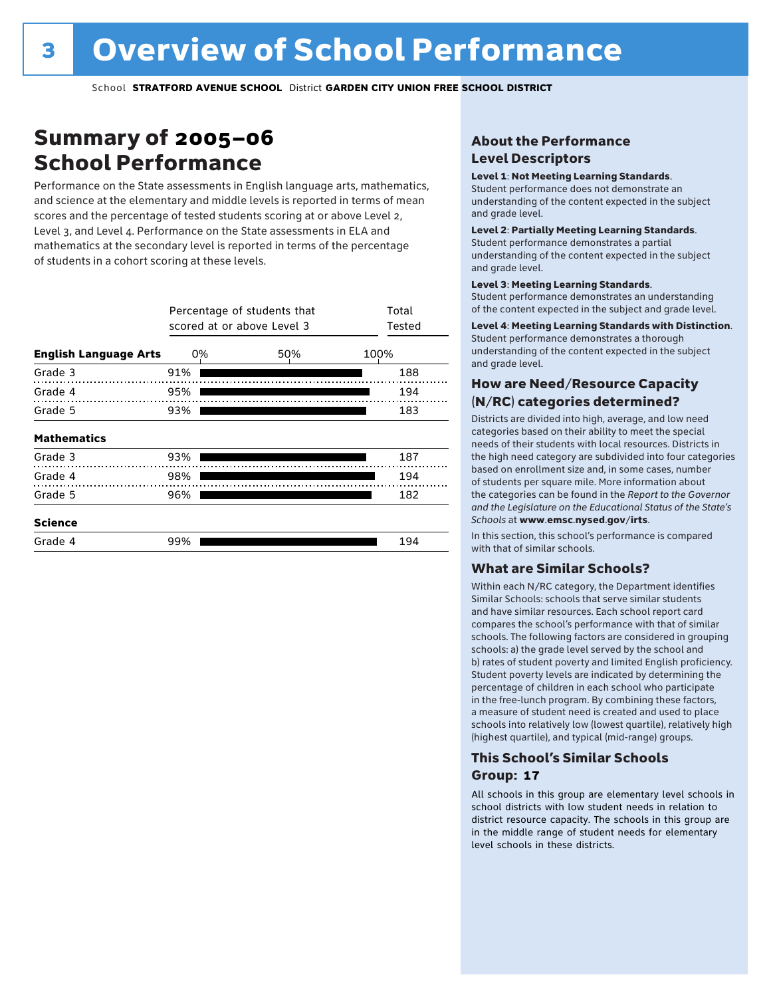## Summary of 2005–06 School Performance

Performance on the State assessments in English language arts, mathematics, and science at the elementary and middle levels is reported in terms of mean scores and the percentage of tested students scoring at or above Level 2, Level 3, and Level 4. Performance on the State assessments in ELA and mathematics at the secondary level is reported in terms of the percentage of students in a cohort scoring at these levels.

|                              |     | Percentage of students that<br>scored at or above Level 3 |      |  |  |  |  |  |
|------------------------------|-----|-----------------------------------------------------------|------|--|--|--|--|--|
| <b>English Language Arts</b> | 0%  | 50%                                                       | 100% |  |  |  |  |  |
| Grade 3                      | 91% |                                                           | 188  |  |  |  |  |  |
| Grade 4                      | 95% |                                                           | 194  |  |  |  |  |  |
| Grade 5                      | 93% |                                                           | 183  |  |  |  |  |  |
| <b>Mathematics</b>           |     |                                                           |      |  |  |  |  |  |
| Grade 3                      | 93% |                                                           | 187  |  |  |  |  |  |
| Grade 4                      | 98% |                                                           | 194  |  |  |  |  |  |
| Grade 5                      | 96% |                                                           | 182  |  |  |  |  |  |
| <b>Science</b>               |     |                                                           |      |  |  |  |  |  |
| Grade 4                      | 99% |                                                           | 194  |  |  |  |  |  |

#### About the Performance Level Descriptors

#### Level 1: Not Meeting Learning Standards.

Student performance does not demonstrate an understanding of the content expected in the subject and grade level.

#### Level 2: Partially Meeting Learning Standards.

Student performance demonstrates a partial understanding of the content expected in the subject and grade level.

#### Level 3: Meeting Learning Standards.

Student performance demonstrates an understanding of the content expected in the subject and grade level.

#### Level 4: Meeting Learning Standards with Distinction.

Student performance demonstrates a thorough understanding of the content expected in the subject and grade level.

#### How are Need/Resource Capacity (N/RC) categories determined?

Districts are divided into high, average, and low need categories based on their ability to meet the special needs of their students with local resources. Districts in the high need category are subdivided into four categories based on enrollment size and, in some cases, number of students per square mile. More information about the categories can be found in the *Report to the Governor and the Legislature on the Educational Status of the State's Schools* at www.emsc.nysed.gov/irts.

In this section, this school's performance is compared with that of similar schools.

#### What are Similar Schools?

Within each N/RC category, the Department identifies Similar Schools: schools that serve similar students and have similar resources. Each school report card compares the school's performance with that of similar schools. The following factors are considered in grouping schools: a) the grade level served by the school and b) rates of student poverty and limited English proficiency. Student poverty levels are indicated by determining the percentage of children in each school who participate in the free-lunch program. By combining these factors, a measure of student need is created and used to place schools into relatively low (lowest quartile), relatively high (highest quartile), and typical (mid-range) groups.

#### This School's Similar Schools Group: **17**

All schools in this group are elementary level schools in school districts with low student needs in relation to district resource capacity. The schools in this group are in the middle range of student needs for elementary level schools in these districts.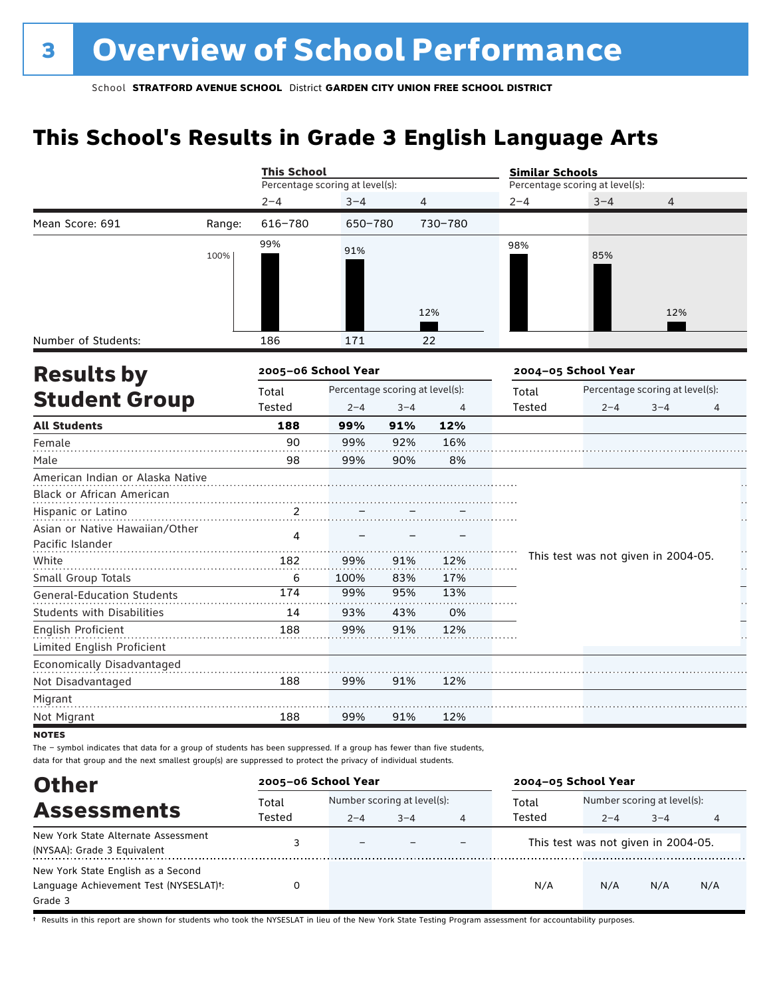## **This School's Results in Grade 3 English Language Arts**

|                                                    |        | <b>This School</b>              |                                 |                |         | <b>Similar Schools</b>          |                                     |                                 |          |  |
|----------------------------------------------------|--------|---------------------------------|---------------------------------|----------------|---------|---------------------------------|-------------------------------------|---------------------------------|----------|--|
|                                                    |        | Percentage scoring at level(s): |                                 |                |         | Percentage scoring at level(s): |                                     |                                 |          |  |
|                                                    |        | $2 - 4$                         | $3 - 4$                         | $\overline{4}$ |         | $2 - 4$                         | $3 - 4$                             | $\overline{4}$                  |          |  |
| Mean Score: 691                                    | Range: | 616-780                         | 650-780                         |                | 730-780 |                                 |                                     |                                 |          |  |
|                                                    | 100%   | 99%                             | 91%                             |                |         | 98%                             | 85%                                 |                                 |          |  |
|                                                    |        |                                 |                                 |                | 12%     |                                 |                                     | 12%                             |          |  |
| Number of Students:                                |        | 186                             | 171                             |                | 22      |                                 |                                     |                                 |          |  |
| <b>Results by</b>                                  |        | 2005-06 School Year             |                                 |                |         |                                 | 2004-05 School Year                 |                                 |          |  |
|                                                    |        | Total                           | Percentage scoring at level(s): |                |         | Total                           |                                     | Percentage scoring at level(s): |          |  |
| <b>Student Group</b>                               |        | Tested                          | $2 - 4$                         | $3 - 4$        | 4       | Tested                          | $2 - 4$                             | $3 - 4$                         | 4        |  |
| <b>All Students</b>                                |        | 188                             | 99%                             | 91%            | 12%     |                                 |                                     |                                 |          |  |
| Female                                             |        | 90                              | 99%                             | 92%            | 16%     |                                 |                                     |                                 |          |  |
| Male                                               |        | 98                              | 99%                             | 90%            | 8%      |                                 |                                     |                                 |          |  |
| American Indian or Alaska Native                   |        |                                 |                                 |                |         |                                 |                                     |                                 |          |  |
| Black or African American                          |        |                                 |                                 |                |         |                                 |                                     |                                 |          |  |
| Hispanic or Latino                                 |        | $\mathfrak{p}$                  |                                 |                |         |                                 |                                     |                                 |          |  |
| Asian or Native Hawaiian/Other<br>Pacific Islander |        | 4                               |                                 |                |         |                                 |                                     |                                 |          |  |
| White                                              |        | 182                             | 99%                             | 91%            | 12%     |                                 | This test was not given in 2004-05. |                                 | ٠٠<br>μ, |  |
| Small Group Totals                                 |        | 6                               | 100%                            | 83%            | 17%     |                                 |                                     |                                 |          |  |
| <b>General-Education Students</b>                  |        | 174                             | 99%                             | 95%            | 13%     |                                 |                                     |                                 |          |  |
| <b>Students with Disabilities</b>                  |        | 14                              | 93%                             | 43%            | 0%      |                                 |                                     |                                 |          |  |
| English Proficient<br>Limited English Proficient   |        | 188                             | 99%                             | 91%            | 12%     |                                 |                                     |                                 |          |  |
| Economically Disadvantaged                         |        |                                 |                                 |                |         |                                 |                                     |                                 |          |  |
| Not Disadvantaged                                  |        | 188                             | 99%                             | 91%            | 12%     |                                 |                                     |                                 |          |  |
| Migrant                                            |        |                                 |                                 |                |         |                                 |                                     |                                 |          |  |
| Not Migrant                                        |        | 188                             | 99%                             | 91%            | 12%     |                                 |                                     |                                 |          |  |
| <b>NOTES</b>                                       |        |                                 |                                 |                |         |                                 |                                     |                                 |          |  |

The – symbol indicates that data for a group of students has been suppressed. If a group has fewer than five students, data for that group and the next smallest group(s) are suppressed to protect the privacy of individual students.

| <b>Other</b>                                                                            | 2005-06 School Year |                             |         |                | 2004-05 School Year                 |                             |         |     |
|-----------------------------------------------------------------------------------------|---------------------|-----------------------------|---------|----------------|-------------------------------------|-----------------------------|---------|-----|
| <b>Assessments</b>                                                                      | Total               | Number scoring at level(s): |         |                | Total                               | Number scoring at level(s): |         |     |
|                                                                                         | Tested              | $2 - 4$                     | $3 - 4$ | $\overline{4}$ | Tested                              | $2 - 4$                     | $3 - 4$ | 4   |
| New York State Alternate Assessment<br>(NYSAA): Grade 3 Equivalent                      | З                   | $\overline{\phantom{0}}$    |         |                | This test was not given in 2004-05. |                             |         |     |
| New York State English as a Second<br>Language Achievement Test (NYSESLAT)t:<br>Grade 3 |                     |                             |         |                | N/A                                 | N/A                         | N/A     | N/A |

† Results in this report are shown for students who took the NYSESLAT in lieu of the New York State Testing Program assessment for accountability purposes.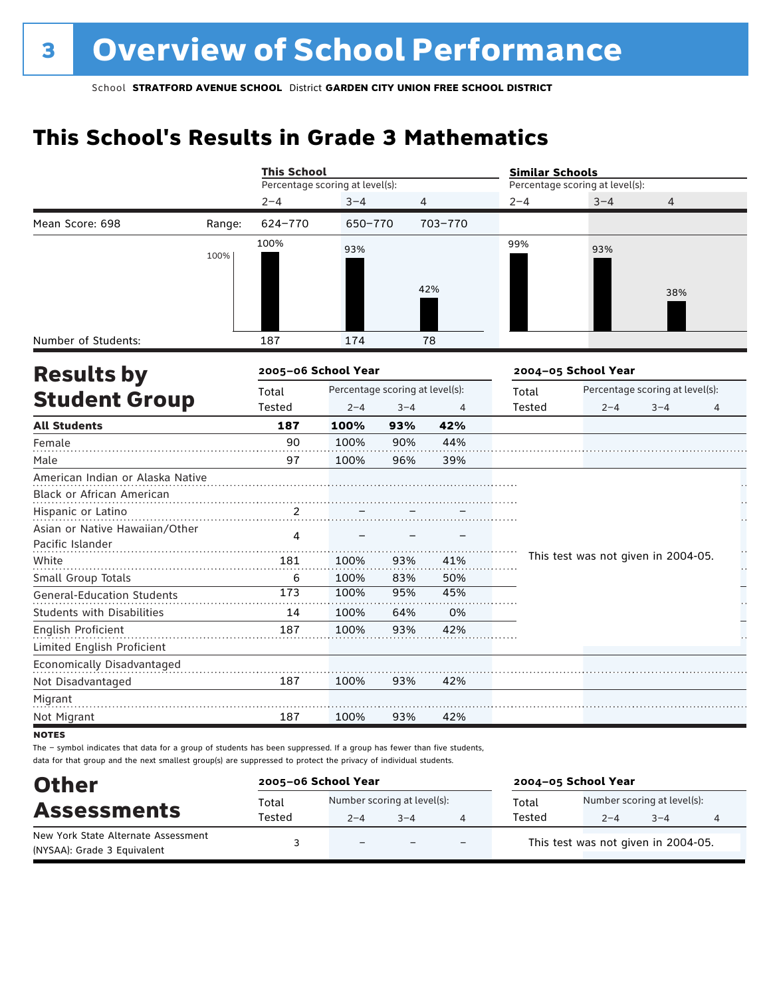## **This School's Results in Grade 3 Mathematics**

|                                   |        | <b>This School</b>              |         |                                 |         | <b>Similar Schools</b> |                                     |                                 |    |  |  |
|-----------------------------------|--------|---------------------------------|---------|---------------------------------|---------|------------------------|-------------------------------------|---------------------------------|----|--|--|
|                                   |        | Percentage scoring at level(s): |         |                                 |         |                        | Percentage scoring at level(s):     |                                 |    |  |  |
|                                   |        | $2 - 4$                         | $3 - 4$ | 4                               |         | $2 - 4$                | $3 - 4$                             | 4                               |    |  |  |
| Mean Score: 698                   | Range: | 624-770                         | 650-770 |                                 | 703-770 |                        |                                     |                                 |    |  |  |
|                                   | 100%   | 100%                            | 93%     |                                 | 42%     | 99%                    | 93%                                 | 38%                             |    |  |  |
| Number of Students:               |        | 187                             | 174     |                                 | 78      |                        |                                     |                                 |    |  |  |
| <b>Results by</b>                 |        | 2005-06 School Year             |         |                                 |         |                        | 2004-05 School Year                 |                                 |    |  |  |
|                                   |        | Total                           |         | Percentage scoring at level(s): |         | Total                  |                                     | Percentage scoring at level(s): |    |  |  |
| <b>Student Group</b>              |        | Tested                          | $2 - 4$ | $3 - 4$                         | 4       | Tested                 | $2 - 4$                             | $3 - 4$                         | 4  |  |  |
| <b>All Students</b>               |        | 187                             | 100%    | 93%                             | 42%     |                        |                                     |                                 |    |  |  |
| Female                            |        | 90                              | 100%    | 90%                             | 44%     |                        |                                     |                                 |    |  |  |
| Male                              |        | 97                              | 100%    | 96%                             | 39%     |                        |                                     |                                 |    |  |  |
| American Indian or Alaska Native  |        |                                 |         |                                 |         |                        |                                     |                                 |    |  |  |
| Black or African American         |        |                                 |         |                                 |         |                        |                                     |                                 |    |  |  |
| Hispanic or Latino                |        | $\frac{2}{\cdots}$              |         |                                 |         |                        |                                     |                                 |    |  |  |
| Asian or Native Hawaiian/Other    |        | 4                               |         |                                 |         |                        |                                     |                                 |    |  |  |
| Pacific Islander                  |        |                                 |         |                                 |         |                        |                                     |                                 |    |  |  |
| White                             |        | 181                             | 100%    | 93%                             | 41%     |                        | This test was not given in 2004-05. |                                 | Ц, |  |  |
| Small Group Totals                |        | 6                               | 100%    | 83%                             | 50%     |                        |                                     |                                 |    |  |  |
| <b>General-Education Students</b> |        | 173                             | 100%    | 95%                             | 45%     |                        |                                     |                                 |    |  |  |
| <b>Students with Disabilities</b> |        | 14                              | 100%    | 64%                             | 0%      |                        |                                     |                                 |    |  |  |
| English Proficient                |        | 187                             | 100%    | 93%                             | 42%     |                        |                                     |                                 |    |  |  |
| Limited English Proficient        |        |                                 |         |                                 |         |                        |                                     |                                 |    |  |  |
| Economically Disadvantaged        |        |                                 |         |                                 |         |                        |                                     |                                 |    |  |  |
| Not Disadvantaged                 |        | 187                             | 100%    | 93%                             | 42%     |                        |                                     |                                 |    |  |  |
| Migrant                           |        |                                 |         |                                 |         |                        |                                     |                                 |    |  |  |
| Not Migrant                       |        | 187                             | 100%    | 93%                             | 42%     |                        |                                     |                                 |    |  |  |
| curve                             |        |                                 |         |                                 |         |                        |                                     |                                 |    |  |  |

**NOTES** 

The – symbol indicates that data for a group of students has been suppressed. If a group has fewer than five students, data for that group and the next smallest group(s) are suppressed to protect the privacy of individual students.

| <b>Other</b>                                                       | 2005-06 School Year                                                                     |          |  |                          | 2004-05 School Year |                                                        |  |  |
|--------------------------------------------------------------------|-----------------------------------------------------------------------------------------|----------|--|--------------------------|---------------------|--------------------------------------------------------|--|--|
| <b>Assessments</b>                                                 | Number scoring at level(s):<br>Total<br>Total<br>Tested<br>Tested<br>$2 - 4$<br>$3 - 4$ |          |  |                          |                     | Number scoring at level(s):<br>$2 - 4$<br>$3 - 4$<br>4 |  |  |
| New York State Alternate Assessment<br>(NYSAA): Grade 3 Equivalent |                                                                                         | $\equiv$ |  | $\overline{\phantom{0}}$ |                     | This test was not given in 2004-05.                    |  |  |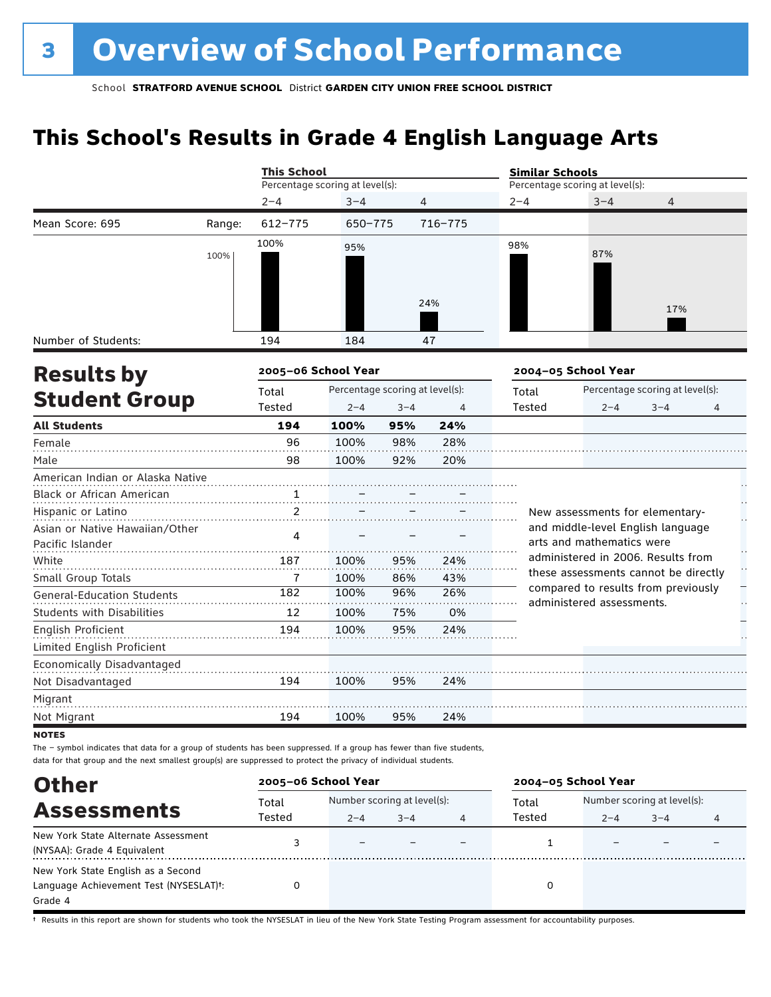## **This School's Results in Grade 4 English Language Arts**

|                                                    |        | <b>This School</b>  |                                 |         |         | <b>Similar Schools</b>          |                                                                  |                                 |    |  |
|----------------------------------------------------|--------|---------------------|---------------------------------|---------|---------|---------------------------------|------------------------------------------------------------------|---------------------------------|----|--|
|                                                    |        |                     | Percentage scoring at level(s): |         |         | Percentage scoring at level(s): |                                                                  |                                 |    |  |
|                                                    |        | $2 - 4$             | $3 - 4$                         |         | 4       | $2 - 4$                         | $3 - 4$                                                          | $\overline{4}$                  |    |  |
| Mean Score: 695                                    | Range: | $612 - 775$         | 650-775                         |         | 716-775 |                                 |                                                                  |                                 |    |  |
|                                                    | 100%   | 100%                | 95%                             |         | 24%     | 98%                             | 87%                                                              | 17%                             |    |  |
| Number of Students:                                |        | 194                 | 184                             |         | 47      |                                 |                                                                  |                                 |    |  |
| <b>Results by</b>                                  |        | 2005-06 School Year |                                 |         |         |                                 | 2004-05 School Year                                              |                                 |    |  |
|                                                    |        | Total               | Percentage scoring at level(s): |         |         | Total                           |                                                                  | Percentage scoring at level(s): |    |  |
| <b>Student Group</b>                               |        | Tested              | $2 - 4$                         | $3 - 4$ | 4       | Tested                          | $2 - 4$                                                          | $3 - 4$                         | 4  |  |
| <b>All Students</b>                                |        | 194                 | 100%                            | 95%     | 24%     |                                 |                                                                  |                                 |    |  |
| Female                                             |        | 96                  | 100%                            | 98%     | 28%     |                                 |                                                                  |                                 |    |  |
| Male                                               |        | 98                  | 100%                            | 92%     | 20%     |                                 |                                                                  |                                 |    |  |
| American Indian or Alaska Native                   |        |                     |                                 |         |         |                                 |                                                                  |                                 |    |  |
| <b>Black or African American</b>                   |        | 1                   |                                 |         |         |                                 |                                                                  |                                 |    |  |
| Hispanic or Latino                                 |        | 2                   |                                 |         |         |                                 | New assessments for elementary-                                  |                                 |    |  |
| Asian or Native Hawaiian/Other<br>Pacific Islander |        | 4                   |                                 |         |         |                                 | and middle-level English language<br>arts and mathematics were   |                                 |    |  |
| White                                              |        | 187                 | 100%                            | 95%     | 24%     |                                 | administered in 2006. Results from                               |                                 |    |  |
| Small Group Totals                                 |        | $\overline{1}$      | 100%                            | 86%     | 43%     |                                 | these assessments cannot be directly                             |                                 | H  |  |
| <b>General-Education Students</b>                  |        | 182                 | 100%                            | 96%     | 26%     |                                 | compared to results from previously<br>administered assessments. |                                 | μ, |  |
| <b>Students with Disabilities</b>                  |        | 12                  | 100%                            | 75%     | 0%      |                                 |                                                                  |                                 |    |  |
| English Proficient                                 |        | 194                 | 100%                            | 95%     | 24%     |                                 |                                                                  |                                 |    |  |
| Limited English Proficient                         |        |                     |                                 |         |         |                                 |                                                                  |                                 |    |  |
| Economically Disadvantaged                         |        |                     |                                 |         |         |                                 |                                                                  |                                 |    |  |
| Not Disadvantaged                                  |        | 194                 | 100%                            | 95%     | 24%     |                                 |                                                                  |                                 |    |  |
| Migrant                                            |        |                     |                                 |         |         |                                 |                                                                  |                                 |    |  |
| Not Migrant                                        |        | 194                 | 100%                            | 95%     | 24%     |                                 |                                                                  |                                 |    |  |

**NOTES** 

The – symbol indicates that data for a group of students has been suppressed. If a group has fewer than five students, data for that group and the next smallest group(s) are suppressed to protect the privacy of individual students.

| <b>Other</b>                                        | 2005-06 School Year |                             |         |   | 2004-05 School Year |         |                             |   |
|-----------------------------------------------------|---------------------|-----------------------------|---------|---|---------------------|---------|-----------------------------|---|
| <b>Assessments</b>                                  | Total               | Number scoring at level(s): |         |   | Total               |         | Number scoring at level(s): |   |
|                                                     | Tested              | $2 - 4$                     | $3 - 4$ | 4 | Tested              | $2 - 4$ | $3 - 4$                     | 4 |
| New York State Alternate Assessment                 |                     | -                           |         |   |                     |         |                             |   |
| (NYSAA): Grade 4 Equivalent                         |                     |                             |         |   |                     |         |                             |   |
| New York State English as a Second                  |                     |                             |         |   |                     |         |                             |   |
| Language Achievement Test (NYSESLAT) <sup>+</sup> : |                     |                             |         |   |                     |         |                             |   |
| Grade 4                                             |                     |                             |         |   |                     |         |                             |   |

† Results in this report are shown for students who took the NYSESLAT in lieu of the New York State Testing Program assessment for accountability purposes.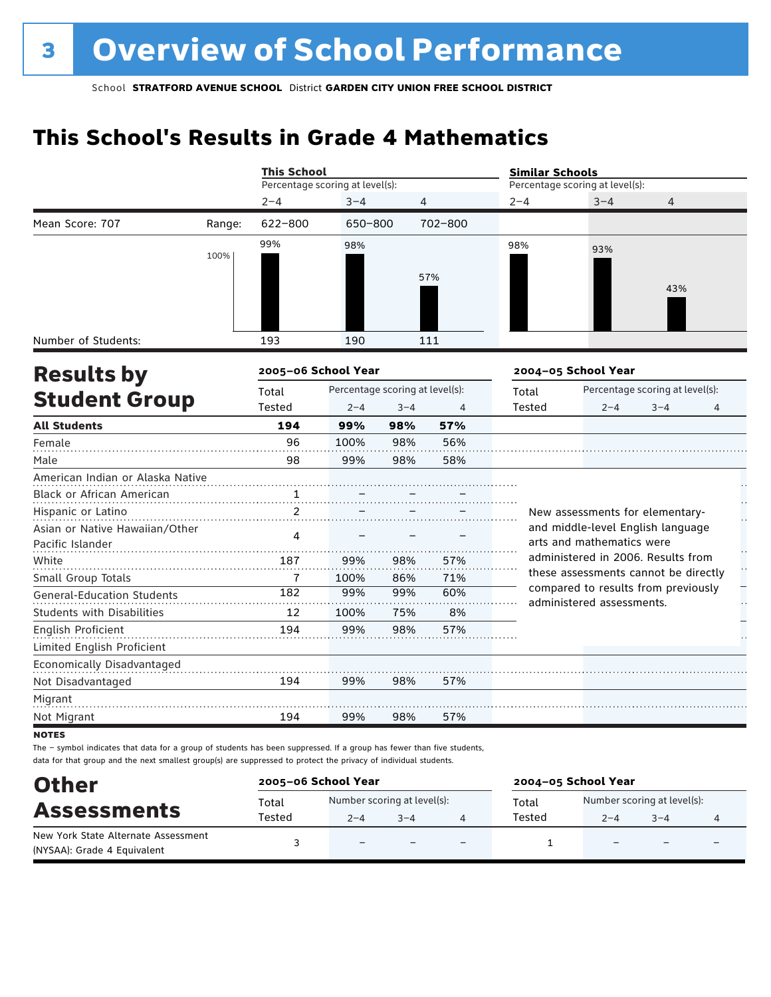## **This School's Results in Grade 4 Mathematics**

|                                                    |        | <b>This School</b>              |                                 |         |         | <b>Similar Schools</b>          |                                                                  |                                 |   |  |
|----------------------------------------------------|--------|---------------------------------|---------------------------------|---------|---------|---------------------------------|------------------------------------------------------------------|---------------------------------|---|--|
|                                                    |        | Percentage scoring at level(s): |                                 |         |         | Percentage scoring at level(s): |                                                                  |                                 |   |  |
|                                                    |        | $2 - 4$                         | $3 - 4$                         |         | 4       | $2 - 4$                         | $3 - 4$                                                          | 4                               |   |  |
| Mean Score: 707                                    | Range: | $622 - 800$                     | 650-800                         |         | 702-800 |                                 |                                                                  |                                 |   |  |
|                                                    | 100%   | 99%                             | 98%                             |         | 57%     | 98%                             | 93%                                                              | 43%                             |   |  |
|                                                    |        |                                 |                                 |         |         |                                 |                                                                  |                                 |   |  |
| Number of Students:                                |        | 193                             | 190                             |         | 111     |                                 |                                                                  |                                 |   |  |
| <b>Results by</b>                                  |        | 2005-06 School Year             |                                 |         |         |                                 | 2004-05 School Year                                              |                                 |   |  |
|                                                    |        | Total                           | Percentage scoring at level(s): |         |         | Total                           |                                                                  | Percentage scoring at level(s): |   |  |
| <b>Student Group</b>                               |        | Tested                          | $2 - 4$                         | $3 - 4$ | 4       | Tested                          | $2 - 4$                                                          | $3 - 4$                         | 4 |  |
| <b>All Students</b>                                |        | 194                             | 99%                             | 98%     | 57%     |                                 |                                                                  |                                 |   |  |
| Female                                             |        | 96                              | 100%                            | 98%     | 56%     |                                 |                                                                  |                                 |   |  |
| Male                                               |        | 98                              | 99%                             | 98%     | 58%     |                                 |                                                                  |                                 |   |  |
| American Indian or Alaska Native                   |        |                                 |                                 |         |         |                                 |                                                                  |                                 |   |  |
| <b>Black or African American</b>                   |        | .                               |                                 |         |         |                                 |                                                                  |                                 |   |  |
| Hispanic or Latino                                 |        | 2                               |                                 |         |         |                                 | New assessments for elementary-                                  |                                 |   |  |
| Asian or Native Hawaiian/Other<br>Pacific Islander |        | 4                               |                                 |         |         |                                 | and middle-level English language<br>arts and mathematics were   |                                 |   |  |
| White                                              |        | 187                             | 99%                             | 98%     | 57%     |                                 | administered in 2006. Results from                               |                                 |   |  |
| Small Group Totals                                 |        | 7                               | 100%                            | 86%     | 71%     |                                 | these assessments cannot be directly                             |                                 |   |  |
| <b>General-Education Students</b>                  |        | 182                             | 99%                             | 99%     | 60%     |                                 | compared to results from previously<br>administered assessments. |                                 |   |  |
| <b>Students with Disabilities</b>                  |        | 12                              | 100%                            | 75%     | 8%      |                                 |                                                                  |                                 |   |  |
| English Proficient<br>Limited English Proficient   |        | 194                             | 99%                             | 98%     | 57%     |                                 |                                                                  |                                 |   |  |
| Economically Disadvantaged                         |        |                                 |                                 |         |         |                                 |                                                                  |                                 |   |  |
| Not Disadvantaged                                  |        | 194                             | 99%                             | 98%     | 57%     |                                 |                                                                  |                                 |   |  |
| Migrant                                            |        |                                 |                                 |         |         |                                 |                                                                  |                                 |   |  |
| Not Migrant                                        |        | 194                             | 99%                             | 98%     | 57%     |                                 |                                                                  |                                 |   |  |

**NOTES** 

The – symbol indicates that data for a group of students has been suppressed. If a group has fewer than five students, data for that group and the next smallest group(s) are suppressed to protect the privacy of individual students.

| <b>Other</b><br><b>Assessments</b><br>New York State Alternate Assessment |        | 2005-06 School Year         |         | 2004-05 School Year      |        |                             |                          |  |
|---------------------------------------------------------------------------|--------|-----------------------------|---------|--------------------------|--------|-----------------------------|--------------------------|--|
|                                                                           | Total  | Number scoring at level(s): |         |                          | Total  | Number scoring at level(s): |                          |  |
|                                                                           | Tested | $2 - 4$                     | $3 - 4$ |                          | Tested | $2 - 4$                     | $3 - 4$                  |  |
| (NYSAA): Grade 4 Equivalent                                               |        | $\equiv$                    |         | $\overline{\phantom{0}}$ |        |                             | $\overline{\phantom{0}}$ |  |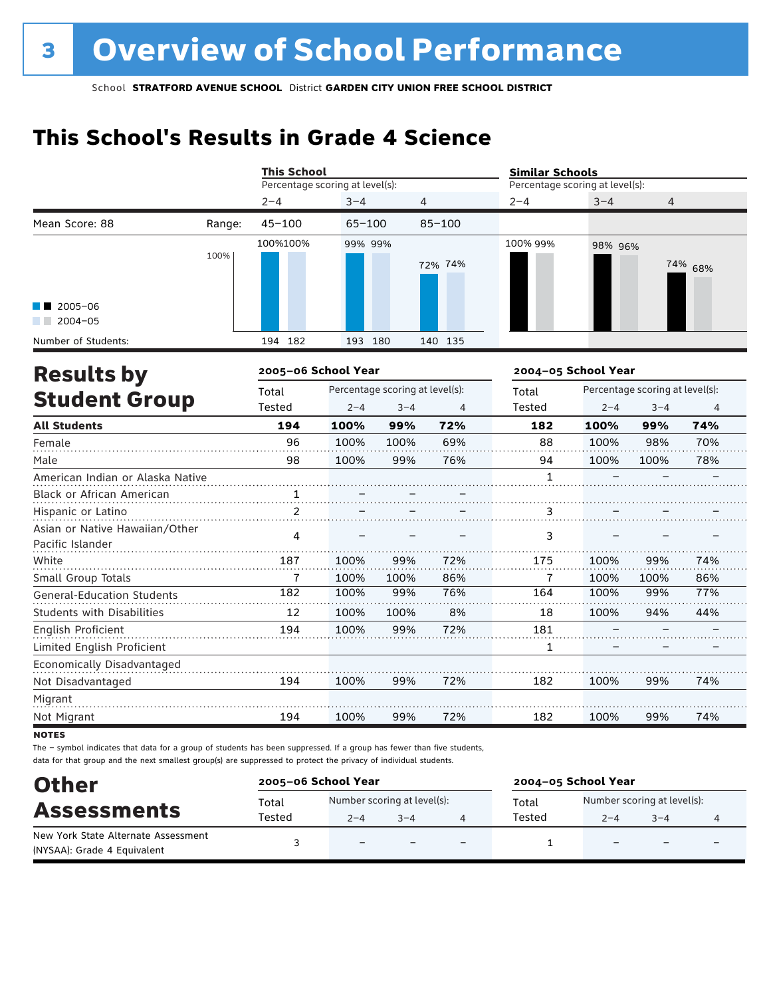## **This School's Results in Grade 4 Science**

|                                                    |        | <b>This School</b>              |            |                                 |                | <b>Similar Schools</b>          |                     |                                 |         |  |
|----------------------------------------------------|--------|---------------------------------|------------|---------------------------------|----------------|---------------------------------|---------------------|---------------------------------|---------|--|
|                                                    |        | Percentage scoring at level(s): |            |                                 |                | Percentage scoring at level(s): |                     |                                 |         |  |
|                                                    |        | $2 - 4$                         | $3 - 4$    |                                 | $\overline{4}$ | $2 - 4$                         | $3 - 4$             | 4                               |         |  |
| Mean Score: 88                                     | Range: | $45 - 100$                      | $65 - 100$ |                                 | $85 - 100$     |                                 |                     |                                 |         |  |
|                                                    | 100%   | 100%100%                        | 99% 99%    |                                 | 72% 74%        | 100% 99%                        | 98% 96%             |                                 | 74% 68% |  |
| 2005-06<br>$2004 - 05$                             |        |                                 |            |                                 |                |                                 |                     |                                 |         |  |
| Number of Students:                                |        | 194 182                         | 193 180    |                                 | 140 135        |                                 |                     |                                 |         |  |
| <b>Results by</b>                                  |        | 2005-06 School Year             |            |                                 |                |                                 | 2004-05 School Year |                                 |         |  |
|                                                    |        | Total                           |            | Percentage scoring at level(s): |                | Total                           |                     | Percentage scoring at level(s): |         |  |
| <b>Student Group</b>                               |        | Tested                          | $2 - 4$    | $3 - 4$                         | 4              | Tested                          | $2 - 4$             | $3 - 4$                         | 4       |  |
| <b>All Students</b>                                |        | 194                             | 100%       | 99%                             | 72%            | 182                             | 100%                | 99%                             | 74%     |  |
| Female                                             |        | 96                              | 100%       | 100%                            | 69%            | 88                              | 100%                | 98%                             | 70%     |  |
| Male                                               |        | 98                              | 100%       | 99%                             | 76%            | 94                              | 100%                | 100%                            | 78%     |  |
| American Indian or Alaska Native                   |        |                                 |            |                                 |                | 1                               |                     |                                 |         |  |
| <b>Black or African American</b>                   |        | . 1                             |            |                                 |                |                                 |                     |                                 |         |  |
| Hispanic or Latino                                 |        | $\overline{2}$                  |            |                                 |                | 3                               |                     |                                 |         |  |
| Asian or Native Hawaiian/Other<br>Pacific Islander |        | 4                               |            |                                 |                | 3                               |                     |                                 |         |  |
| White                                              |        | 187                             | 100%       | 99%                             | 72%            | 175                             | 100%                | 99%                             | 74%     |  |
| Small Group Totals                                 |        | 7                               | 100%       | 100%                            | 86%            | 7                               | 100%                | 100%                            | 86%     |  |
| <b>General-Education Students</b>                  |        | 182                             | 100%       | 99%                             | 76%            | 164                             | 100%                | 99%                             | 77%     |  |
| Students with Disabilities                         |        | 12                              | 100%       | 100%                            | 8%             | 18                              | 100%                | 94%                             | 44%     |  |
| English Proficient                                 |        | 194                             | 100%       | 99%                             | 72%            | 181                             |                     |                                 |         |  |
| Limited English Proficient                         |        |                                 |            |                                 |                | 1                               |                     |                                 |         |  |
| Economically Disadvantaged                         |        |                                 |            |                                 |                |                                 |                     |                                 |         |  |
| Not Disadvantaged                                  |        | 194                             | 100%       | 99%                             | 72%            | 182                             | 100%                | 99%                             | 74%     |  |
| Migrant                                            |        |                                 |            |                                 |                |                                 |                     |                                 |         |  |
| Not Migrant                                        |        | 194                             | 100%       | 99%                             | 72%            | 182                             | 100%                | 99%                             | 74%     |  |

**NOTES** 

The – symbol indicates that data for a group of students has been suppressed. If a group has fewer than five students, data for that group and the next smallest group(s) are suppressed to protect the privacy of individual students.

| <b>Other</b><br><b>Assessments</b>                                 | 2005-06 School Year |                                        |         |                          | 2004-05 School Year |                                        |                          |                          |  |
|--------------------------------------------------------------------|---------------------|----------------------------------------|---------|--------------------------|---------------------|----------------------------------------|--------------------------|--------------------------|--|
|                                                                    | Total<br>Tested     | Number scoring at level(s):<br>$2 - 4$ | $3 - 4$ |                          | Total<br>Tested     | Number scoring at level(s):<br>$2 - 4$ | $3 - 4$                  |                          |  |
| New York State Alternate Assessment<br>(NYSAA): Grade 4 Equivalent |                     | $\equiv$                               |         | $\overline{\phantom{0}}$ |                     | $\overline{\phantom{0}}$               | $\overline{\phantom{0}}$ | $\overline{\phantom{0}}$ |  |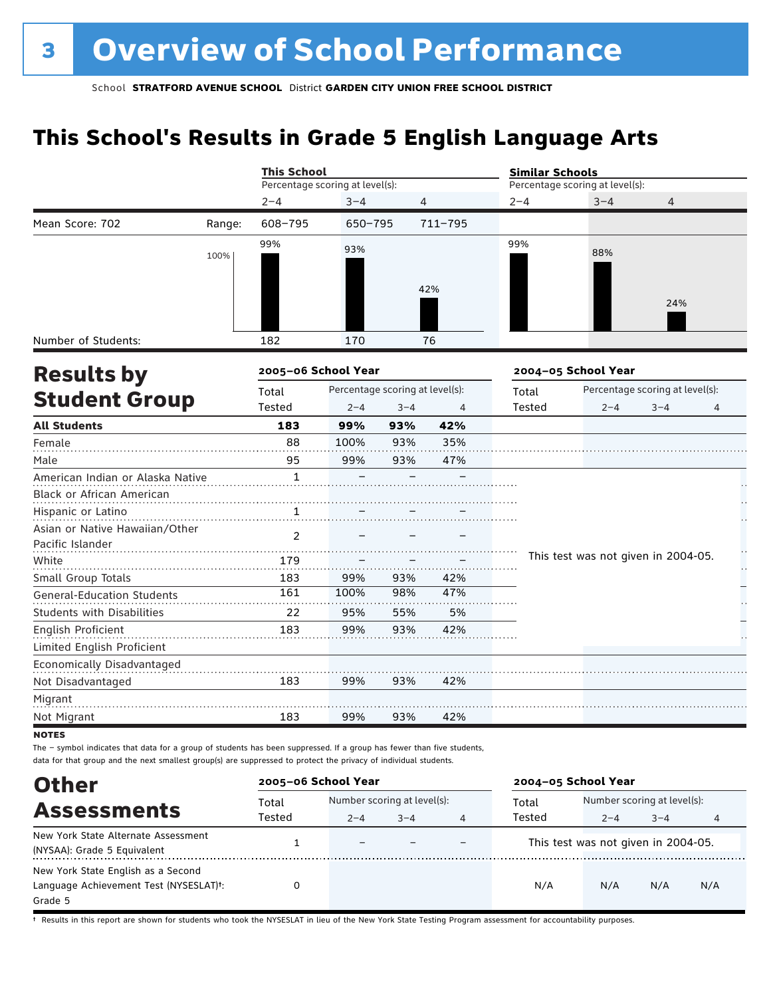## **This School's Results in Grade 5 English Language Arts**

|                                   |        | <b>This School</b>              |                                 |         |         |         | <b>Similar Schools</b>              |                                 |    |  |  |  |
|-----------------------------------|--------|---------------------------------|---------------------------------|---------|---------|---------|-------------------------------------|---------------------------------|----|--|--|--|
|                                   |        | Percentage scoring at level(s): |                                 |         |         |         | Percentage scoring at level(s):     |                                 |    |  |  |  |
|                                   |        | $2 - 4$                         | $3 - 4$                         | 4       |         | $2 - 4$ | $3 - 4$                             | 4                               |    |  |  |  |
| Mean Score: 702                   | Range: | 608-795                         | 650-795                         |         | 711-795 |         |                                     |                                 |    |  |  |  |
|                                   | 100%   | 99%                             | 93%                             |         | 42%     | 99%     | 88%                                 | 24%                             |    |  |  |  |
| Number of Students:               |        | 182                             | 170                             |         | 76      |         |                                     |                                 |    |  |  |  |
| <b>Results by</b>                 |        | 2005-06 School Year             |                                 |         |         |         | 2004-05 School Year                 |                                 |    |  |  |  |
|                                   |        | Total                           | Percentage scoring at level(s): |         |         | Total   |                                     | Percentage scoring at level(s): |    |  |  |  |
| <b>Student Group</b>              |        | Tested                          | $2 - 4$                         | $3 - 4$ | 4       | Tested  | $2 - 4$                             | $3 - 4$                         | 4  |  |  |  |
| <b>All Students</b>               |        | 183                             | 99%                             | 93%     | 42%     |         |                                     |                                 |    |  |  |  |
| Female                            |        | 88                              | 100%                            | 93%     | 35%     |         |                                     |                                 |    |  |  |  |
| Male                              |        | 95                              | 99%                             | 93%     | 47%     |         |                                     |                                 |    |  |  |  |
| American Indian or Alaska Native  |        | $\mathbf{1}$                    |                                 |         |         |         |                                     |                                 |    |  |  |  |
| Black or African American         |        |                                 |                                 |         |         |         |                                     |                                 |    |  |  |  |
| Hispanic or Latino                |        | $\mathbf{1}$                    |                                 |         |         |         |                                     |                                 |    |  |  |  |
| Asian or Native Hawaiian/Other    |        | 2                               |                                 |         |         |         |                                     |                                 |    |  |  |  |
| Pacific Islander                  |        |                                 |                                 |         |         |         |                                     |                                 | Ì, |  |  |  |
| White                             |        | 179                             |                                 |         |         |         | This test was not given in 2004-05. |                                 | Н  |  |  |  |
| Small Group Totals                |        | 183                             | 99%                             | 93%     | 42%     |         |                                     |                                 |    |  |  |  |
| <b>General-Education Students</b> |        | 161                             | 100%                            | 98%     | 47%     |         |                                     |                                 |    |  |  |  |
| <b>Students with Disabilities</b> |        | 22                              | 95%                             | 55%     | 5%      |         |                                     |                                 |    |  |  |  |
| English Proficient                |        | 183                             | 99%                             | 93%     | 42%     |         |                                     |                                 |    |  |  |  |
| Limited English Proficient        |        |                                 |                                 |         |         |         |                                     |                                 |    |  |  |  |
| Economically Disadvantaged        |        |                                 |                                 |         |         |         |                                     |                                 |    |  |  |  |
| Not Disadvantaged                 |        | 183                             | 99%                             | 93%     | 42%     |         |                                     |                                 |    |  |  |  |
| Migrant                           |        |                                 |                                 |         |         |         |                                     |                                 |    |  |  |  |
| Not Migrant                       |        | 183                             | 99%                             | 93%     | 42%     |         |                                     |                                 |    |  |  |  |
| <b>NOTES</b>                      |        |                                 |                                 |         |         |         |                                     |                                 |    |  |  |  |

notes

The – symbol indicates that data for a group of students has been suppressed. If a group has fewer than five students, data for that group and the next smallest group(s) are suppressed to protect the privacy of individual students.

| <b>Other</b>                                                                                         | 2005-06 School Year |                                                        |  |  | 2004-05 School Year |                                        |         |     |
|------------------------------------------------------------------------------------------------------|---------------------|--------------------------------------------------------|--|--|---------------------|----------------------------------------|---------|-----|
| <b>Assessments</b>                                                                                   | Total<br>Tested     | Number scoring at level(s):<br>$2 - 4$<br>$3 - 4$<br>4 |  |  | Total<br>Tested     | Number scoring at level(s):<br>$2 - 4$ | $3 - 4$ | 4   |
| New York State Alternate Assessment<br>(NYSAA): Grade 5 Equivalent                                   |                     | $\overline{\phantom{0}}$                               |  |  |                     | This test was not given in 2004-05.    |         |     |
| New York State English as a Second<br>Language Achievement Test (NYSESLAT) <sup>+</sup> :<br>Grade 5 |                     |                                                        |  |  | N/A                 | N/A                                    | N/A     | N/A |

† Results in this report are shown for students who took the NYSESLAT in lieu of the New York State Testing Program assessment for accountability purposes.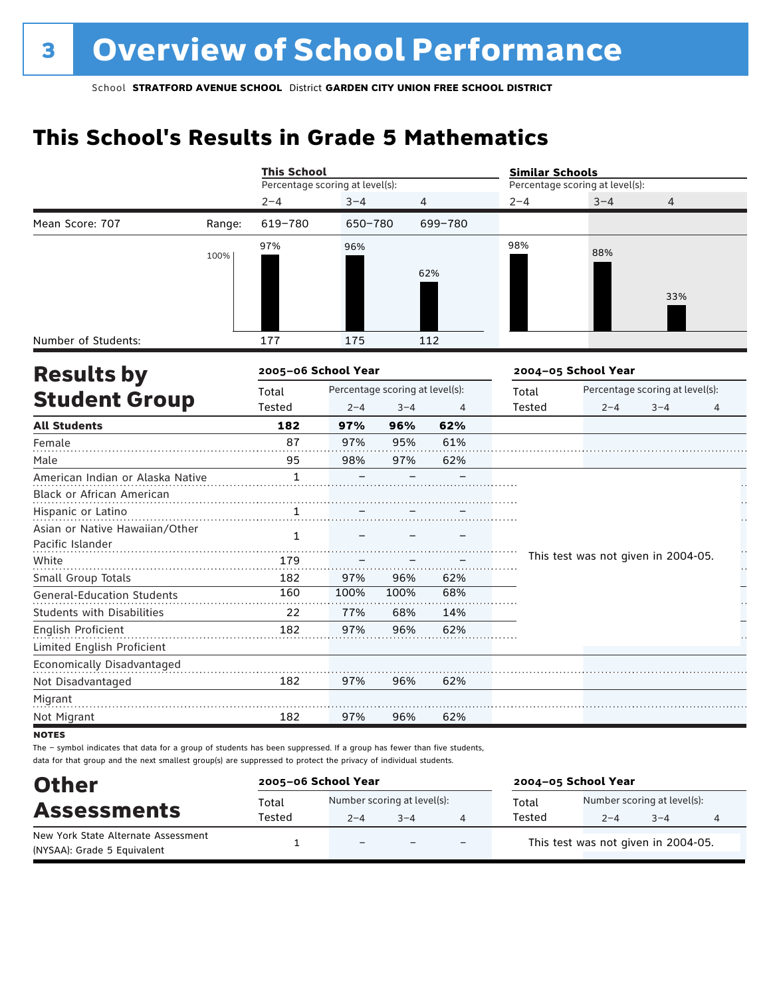## **This School's Results in Grade 5 Mathematics**

|                                                    |        | <b>This School</b>              |            |                                 |                | <b>Similar Schools</b> |                                 |                                     |   |
|----------------------------------------------------|--------|---------------------------------|------------|---------------------------------|----------------|------------------------|---------------------------------|-------------------------------------|---|
|                                                    |        | Percentage scoring at level(s): |            |                                 |                |                        | Percentage scoring at level(s): |                                     |   |
|                                                    |        | $2 - 4$                         | $3 - 4$    | $\overline{4}$                  |                | $2 - 4$                | $3 - 4$                         | 4                                   |   |
| Mean Score: 707                                    | Range: | 619-780                         | 650-780    |                                 | 699-780        |                        |                                 |                                     |   |
|                                                    | 100%   | 97%                             | 96%        |                                 | 62%            | 98%                    | 88%                             | 33%                                 |   |
| Number of Students:                                |        | 177                             | 175        |                                 | 112            |                        |                                 |                                     |   |
| <b>Results by</b>                                  |        | 2005-06 School Year             |            |                                 |                |                        | 2004-05 School Year             |                                     |   |
| <b>Student Group</b>                               |        | Total                           |            | Percentage scoring at level(s): |                | Total<br><b>Tested</b> |                                 | Percentage scoring at level(s):     |   |
|                                                    |        | Tested                          | $2 - 4$    | $3 - 4$                         | $\overline{4}$ |                        | $2 - 4$                         | $3 - 4$                             | 4 |
| <b>All Students</b><br>Female                      |        | 182<br>87                       | 97%<br>97% | 96%<br>95%                      | 62%<br>61%     |                        |                                 |                                     |   |
| Male                                               |        | 95                              | 98%        | 97%                             | 62%            |                        |                                 |                                     |   |
| American Indian or Alaska Native                   |        |                                 |            |                                 |                |                        |                                 |                                     |   |
| Black or African American                          |        | $\mathbf{1}$                    |            |                                 |                |                        |                                 |                                     |   |
| Hispanic or Latino                                 |        | 1                               |            |                                 |                |                        |                                 |                                     |   |
| Asian or Native Hawaiian/Other<br>Pacific Islander |        | $\mathbf{1}$                    |            |                                 |                |                        |                                 |                                     |   |
| White                                              |        | 179                             |            |                                 |                |                        |                                 | This test was not given in 2004-05. |   |
| Small Group Totals                                 |        | 182                             | 97%        | 96%                             | 62%            |                        |                                 |                                     |   |
| <b>General-Education Students</b>                  |        | 160                             | 100%       | 100%                            | 68%            |                        |                                 |                                     |   |
| Students with Disabilities                         |        | 22                              | 77%        | 68%                             | 14%            |                        |                                 |                                     |   |
| English Proficient                                 |        | 182                             | 97%        | 96%                             | 62%            |                        |                                 |                                     |   |
| Limited English Proficient                         |        |                                 |            |                                 |                |                        |                                 |                                     |   |
| Economically Disadvantaged                         |        |                                 |            |                                 |                |                        |                                 |                                     |   |
| Not Disadvantaged                                  |        | 182                             | 97%        | 96%                             | 62%            |                        |                                 |                                     |   |
| Migrant                                            |        |                                 |            |                                 |                |                        |                                 |                                     |   |
| Not Migrant                                        |        | 182                             | 97%        | 96%                             | 62%            |                        |                                 |                                     |   |
|                                                    |        |                                 |            |                                 |                |                        |                                 |                                     |   |

**NOTES** 

The – symbol indicates that data for a group of students has been suppressed. If a group has fewer than five students, data for that group and the next smallest group(s) are suppressed to protect the privacy of individual students.

| <b>Other</b><br><b>Assessments</b>                                 | 2005-06 School Year |                                        |         |                          | 2004-05 School Year |                                        |         |   |  |
|--------------------------------------------------------------------|---------------------|----------------------------------------|---------|--------------------------|---------------------|----------------------------------------|---------|---|--|
|                                                                    | Total<br>Tested     | Number scoring at level(s):<br>$2 - 4$ | $3 - 4$ |                          | Total<br>Tested     | Number scoring at level(s):<br>$2 - 4$ | $3 - 4$ | 4 |  |
| New York State Alternate Assessment<br>(NYSAA): Grade 5 Equivalent |                     | $\overline{\phantom{0}}$               |         | $\overline{\phantom{0}}$ |                     | This test was not given in 2004-05.    |         |   |  |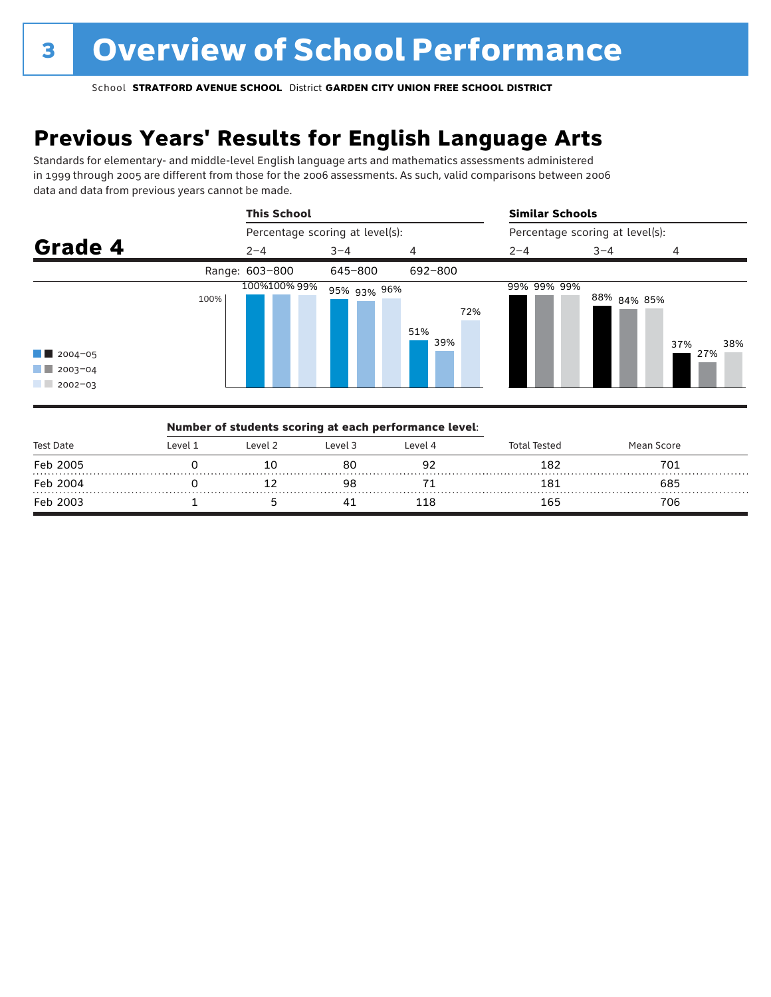## **Previous Years' Results for English Language Arts**

Standards for elementary- and middle-level English language arts and mathematics assessments administered in 1999 through 2005 are different from those for the 2006 assessments. As such, valid comparisons between 2006 data and data from previous years cannot be made.



|           |         |         | Number of students scoring at each performance level: |         |                     |            |  |
|-----------|---------|---------|-------------------------------------------------------|---------|---------------------|------------|--|
| Test Date | Level 1 | Level 2 | Level 3                                               | Level 4 | <b>Total Tested</b> | Mean Score |  |
| Feb 2005  |         |         |                                                       |         | 182                 | 701        |  |
| Feb 2004  |         |         |                                                       |         | 181                 | 685        |  |
| Feb 2003  |         |         |                                                       | 118     | 165                 | 706        |  |